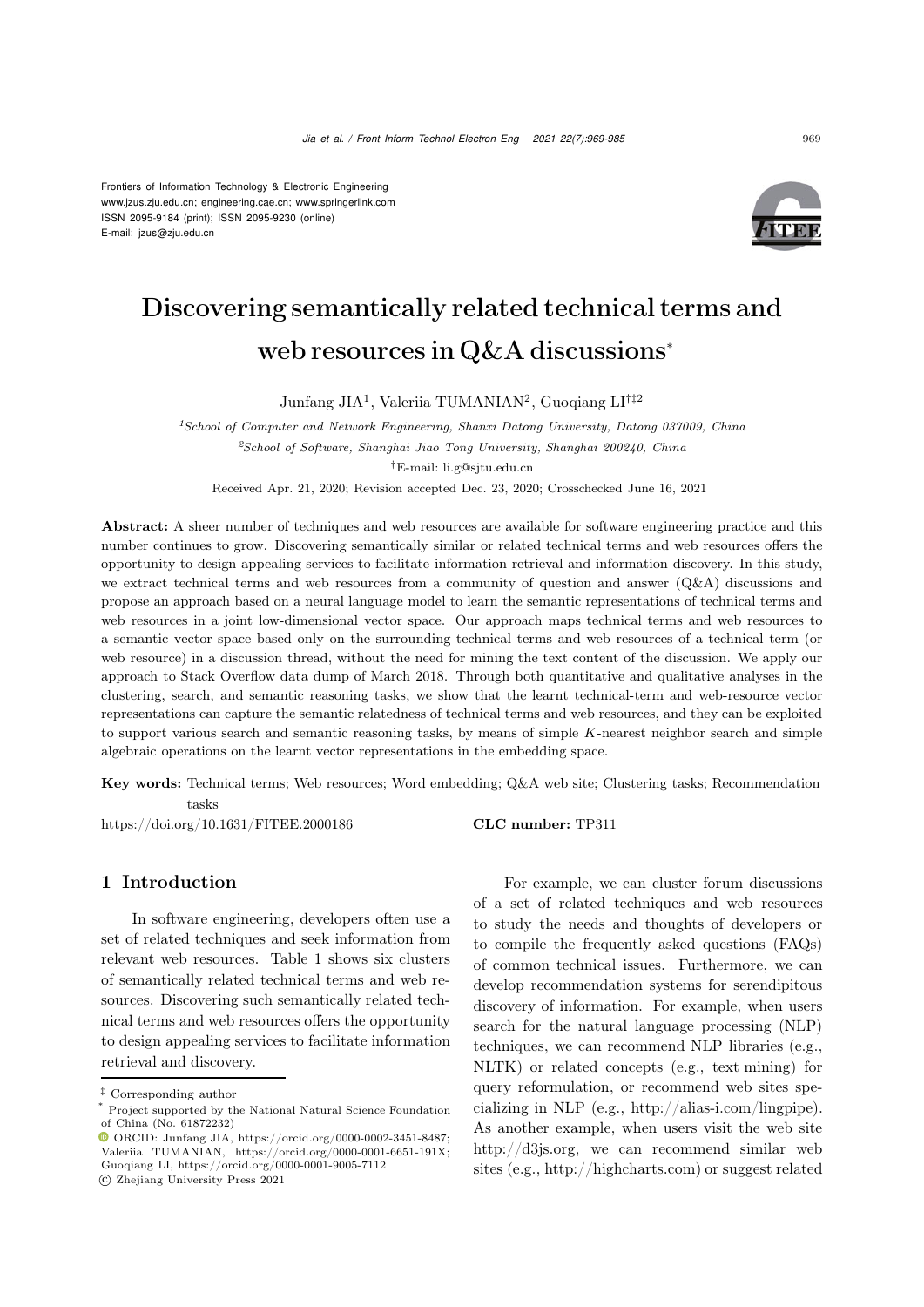Frontiers of Information Technology & Electronic Engineering [www.jzus.zju.edu.cn;](www.jzus.zju.edu.cn) [engineering.cae.cn;](engineering.cae.cn)<www.springerlink.com> ISSN 2095-9184 (print); ISSN 2095-9230 (online) E-mail: jzus@zju.edu.cn



# Discovering semantically related technical terms and web resources in Q&A discussions<sup>∗</sup>

Junfang JIA<sup>1</sup>, Valeriia TUMANIAN<sup>2</sup>, Guoqiang LI†‡<sup>2</sup>

*<sup>1</sup>School of Computer and Network Engineering, Shanxi Datong University, Datong 037009, China <sup>2</sup>School of Software, Shanghai Jiao Tong University, Shanghai 200240, China †*E-mail: li.g@sjtu.edu.cn

Received Apr. 21, 2020; Revision accepted Dec. 23, 2020; Crosschecked June 16, 2021

Abstract: A sheer number of techniques and web resources are available for software engineering practice and this number continues to grow. Discovering semantically similar or related technical terms and web resources offers the opportunity to design appealing services to facilitate information retrieval and information discovery. In this study, we extract technical terms and web resources from a community of question and answer (Q&A) discussions and propose an approach based on a neural language model to learn the semantic representations of technical terms and web resources in a joint low-dimensional vector space. Our approach maps technical terms and web resources to a semantic vector space based only on the surrounding technical terms and web resources of a technical term (or web resource) in a discussion thread, without the need for mining the text content of the discussion. We apply our approach to Stack Overflow data dump of March 2018. Through both quantitative and qualitative analyses in the clustering, search, and semantic reasoning tasks, we show that the learnt technical-term and web-resource vector representations can capture the semantic relatedness of technical terms and web resources, and they can be exploited to support various search and semantic reasoning tasks, by means of simple *K*-nearest neighbor search and simple algebraic operations on the learnt vector representations in the embedding space.

Key words: Technical terms; Web resources; Word embedding; Q&A web site; Clustering tasks; Recommendation tasks

https://doi.org/10.1631/FITEE.2000186 CLC number: TP311

# 1 Introduction

In software engineering, developers often use a set of related techniques and seek information from relevant web resources. Table [1](#page-1-0) shows six clusters of semantically related technical terms and web resources. Discovering such semantically related technical terms and web resources offers the opportunity to design appealing services to facilitate information retrieval and discovery.

For example, we can cluster forum discussions of a set of related techniques and web resources to study the needs and thoughts of developers or to compile the frequently asked questions (FAQs) of common technical issues. Furthermore, we can develop recommendation systems for serendipitous discovery of information. For example, when users search for the natural language processing (NLP) techniques, we can recommend NLP libraries (e.g., NLTK) or related concepts (e.g., text mining) for query reformulation, or recommend web sites specializing in NLP (e.g., http://alias-i.com/lingpipe). As another example, when users visit the web site http://d3js.org, we can recommend similar web sites (e.g., http://highcharts.com) or suggest related

*<sup>‡</sup>* Corresponding author

Project supported by the National Natural Science Foundation of China (No. 61872232)

ORCID: Junfang JIA, https://orcid.org/0000-0002-3451-8487; Valeriia TUMANIAN, https://orcid.org/0000-0001-6651-191X; Guoqiang LI, https://orcid.org/0000-0001-9005-7112

c Zhejiang University Press 2021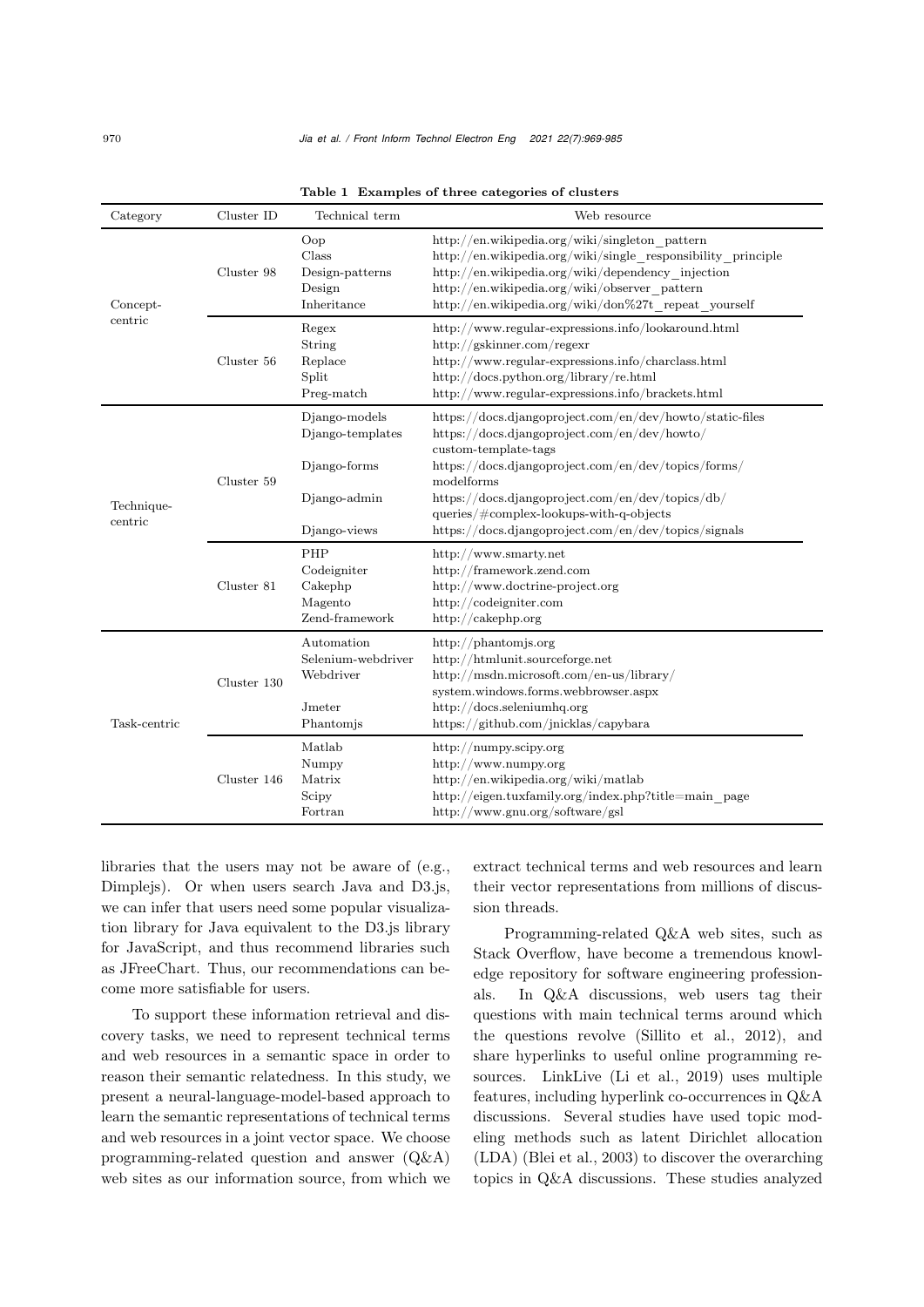| Category              | Cluster ID  | Technical term                                                                    | Web resource                                                                                                                                                                                                                                                                                                                                                        |
|-----------------------|-------------|-----------------------------------------------------------------------------------|---------------------------------------------------------------------------------------------------------------------------------------------------------------------------------------------------------------------------------------------------------------------------------------------------------------------------------------------------------------------|
| Concept-<br>centric   | Cluster 98  | Oop<br>Class<br>Design-patterns<br>Design<br>Inheritance                          | http://en.wikipedia.org/wiki/singleton pattern<br>http://en.wikipedia.org/wiki/single responsibility principle<br>http://en.wikipedia.org/wiki/dependency injection<br>http://en.wikipedia.org/wiki/observer pattern<br>http://en.wikipedia.org/wiki/don%27t repeat yourself                                                                                        |
|                       | Cluster 56  | Regex<br>String<br>Replace<br>Split<br>Preg-match                                 | http://www.regular-expressions.info/lookaround.html<br>http://gskinner.com/regexr<br>http://www.regular-expressions.info/charclass.html<br>http://docs.python.org/library/re.html<br>http://www.regular-expressions.info/brackets.html                                                                                                                              |
| Technique-<br>centric | Cluster 59  | Django-models<br>Django-templates<br>Django-forms<br>Django-admin<br>Django-views | https://docs.djangoproject.com/en/dev/howto/static-files<br>https://docs.djangoproject.com/en/dev/howto/<br>custom-template-tags<br>https://docs.djangoproject.com/en/dev/topics/forms/<br>modelforms<br>https://docs.djangoproject.com/en/dev/topics/db/<br>$queries / \# complex- lookups-with-q-objects$<br>https://docs.djangoproject.com/en/dev/topics/signals |
|                       | Cluster 81  | PHP<br>Codeigniter<br>Cakephp<br>Magento<br>Zend-framework                        | http://www.smarty.net<br>http://framework.zend.com<br>http://www.doctrine-project.org<br>http://codeigniter.com<br>http:// $\langle$ cakephp.org                                                                                                                                                                                                                    |
| Task-centric          | Cluster 130 | Automation<br>Selenium-webdriver<br>Webdriver<br>Jmeter<br>Phantomjs              | http://phantomjs.org<br>http://htmlunit.sourceforge.net<br>http://msdn.microsoft.com/en-us/library/<br>system.windows.forms.webbrowser.aspx<br>http://docs.seleniumhq.org<br>https://github.com/jnicklas/capybara                                                                                                                                                   |
|                       | Cluster 146 | Matlab<br>Numpy<br>Matrix<br>Scipy<br>Fortran                                     | http:// $\mu$ umpy.scipy.org<br>http://www.numpy.org<br>http://en.wikipedia.org/wiki/matlab<br>http://eigen.tuxfamily.org/index.php?title=main_page<br>http://www.gnu.org/software/gsl                                                                                                                                                                              |

<span id="page-1-0"></span>Table 1 Examples of three categories of clusters

libraries that the users may not be aware of (e.g., Dimplejs). Or when users search Java and D3.js, we can infer that users need some popular visualization library for Java equivalent to the D3.js library for JavaScript, and thus recommend libraries such as JFreeChart. Thus, our recommendations can become more satisfiable for users.

To support these information retrieval and discovery tasks, we need to represent technical terms and web resources in a semantic space in order to reason their semantic relatedness. In this study, we present a neural-language-model-based approach to learn the semantic representations of technical terms and web resources in a joint vector space. We choose programming-related question and answer (Q&A) web sites as our information source, from which we

extract technical terms and web resources and learn their vector representations from millions of discussion threads.

Programming-related Q&A web sites, such as Stack Overflow, have become a tremendous knowledge repository for software engineering professionals. In Q&A discussions, web users tag their questions with main technical terms around which the questions revolve [\(Sillito et al., 2012](#page-16-0)), and share hyperlinks to useful online programming resources. LinkLive [\(Li et al., 2019\)](#page-15-0) uses multiple features, including hyperlink co-occurrences in Q&A discussions. Several studies have used topic modeling methods such as latent Dirichlet allocation (LDA) [\(Blei et al.](#page-15-1), [2003\)](#page-15-1) to discover the overarching topics in Q&A discussions. These studies analyzed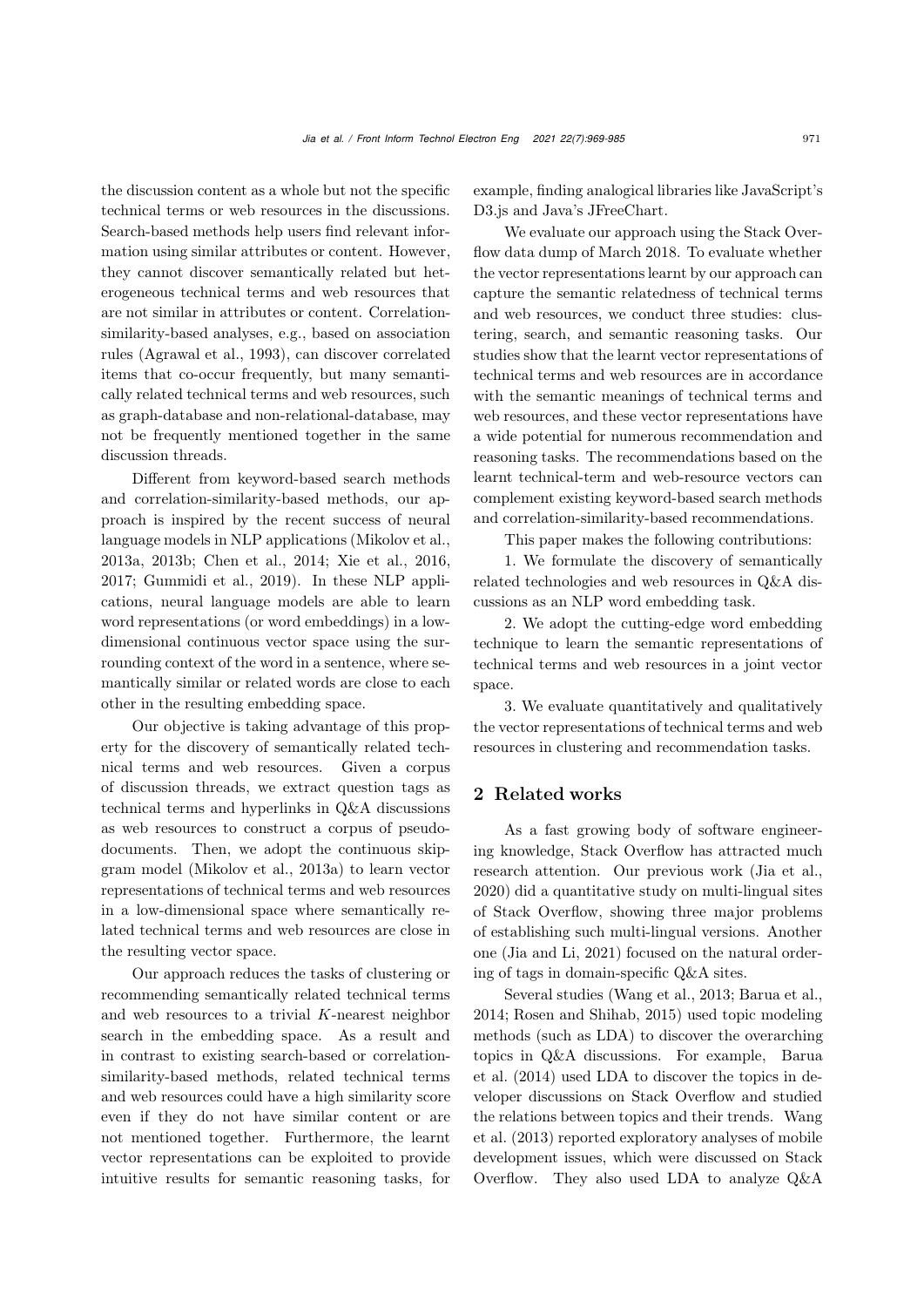the discussion content as a whole but not the specific technical terms or web resources in the discussions. Search-based methods help users find relevant information using similar attributes or content. However, they cannot discover semantically related but heterogeneous technical terms and web resources that are not similar in attributes or content. Correlationsimilarity-based analyses, e.g., based on association rules [\(Agrawal et al.](#page-15-2), [1993\)](#page-15-2), can discover correlated items that co-occur frequently, but many semantically related technical terms and web resources, such as graph-database and non-relational-database, may not be frequently mentioned together in the same discussion threads.

Different from keyword-based search methods and correlation-similarity-based methods, our approach is inspired by the recent success of neural language models in NLP applications (Mikolov et al., 2013a, 2013b; Chen et al., 2014; Xie et al., 2016, 2017; Gummidi et al., 2019). In these NLP applications, neural language models are able to learn word representations (or word embeddings) in a lowdimensional continuous vector space using the surrounding context of the word in a sentence, where semantically similar or related words are close to each other in the resulting embedding space.

Our objective is taking advantage of this property for the discovery of semantically related technical terms and web resources. Given a corpus of discussion threads, we extract question tags as technical terms and hyperlinks in Q&A discussions as web resources to construct a corpus of pseudodocuments. Then, we adopt the continuous skipgram model [\(Mikolov et al.](#page-15-3), [2013a](#page-15-3)) to learn vector representations of technical terms and web resources in a low-dimensional space where semantically related technical terms and web resources are close in the resulting vector space.

Our approach reduces the tasks of clustering or recommending semantically related technical terms and web resources to a trivial *K*-nearest neighbor search in the embedding space. As a result and in contrast to existing search-based or correlationsimilarity-based methods, related technical terms and web resources could have a high similarity score even if they do not have similar content or are not mentioned together. Furthermore, the learnt vector representations can be exploited to provide intuitive results for semantic reasoning tasks, for

example, finding analogical libraries like JavaScript's D3.js and Java's JFreeChart.

We evaluate our approach using the Stack Overflow data dump of March 2018. To evaluate whether the vector representations learnt by our approach can capture the semantic relatedness of technical terms and web resources, we conduct three studies: clustering, search, and semantic reasoning tasks. Our studies show that the learnt vector representations of technical terms and web resources are in accordance with the semantic meanings of technical terms and web resources, and these vector representations have a wide potential for numerous recommendation and reasoning tasks. The recommendations based on the learnt technical-term and web-resource vectors can complement existing keyword-based search methods and correlation-similarity-based recommendations.

This paper makes the following contributions:

1. We formulate the discovery of semantically related technologies and web resources in Q&A discussions as an NLP word embedding task.

2. We adopt the cutting-edge word embedding technique to learn the semantic representations of technical terms and web resources in a joint vector space.

3. We evaluate quantitatively and qualitatively the vector representations of technical terms and web resources in clustering and recommendation tasks.

# 2 Related works

As a fast growing body of software engineering knowledge, Stack Overflow has attracted much research attention. Our previous work [\(Jia et al.](#page-15-4), [2020](#page-15-4)) did a quantitative study on multi-lingual sites of Stack Overflow, showing three major problems of establishing such multi-lingual versions. Another one [\(Jia and Li](#page-15-5), [2021\)](#page-15-5) focused on the natural ordering of tags in domain-specific Q&A sites.

Several studies [\(Wang et al.](#page-16-1), [2013;](#page-16-1) [Barua et al.](#page-15-6), [2014](#page-15-6); [Rosen and Shihab, 2015\)](#page-16-2) used topic modeling methods (such as LDA) to discover the overarching topic[s](#page-15-6) [in](#page-15-6) [Q&A](#page-15-6) [discussions.](#page-15-6) [For](#page-15-6) [example,](#page-15-6) Barua et al. [\(2014\)](#page-15-6) used LDA to discover the topics in developer discussions on Stack Overflow and studied the r[elations](#page-16-1) [between](#page-16-1) [topics](#page-16-1) [and](#page-16-1) [their](#page-16-1) [trends.](#page-16-1) Wang et al. [\(2013](#page-16-1)) reported exploratory analyses of mobile development issues, which were discussed on Stack Overflow. They also used LDA to analyze Q&A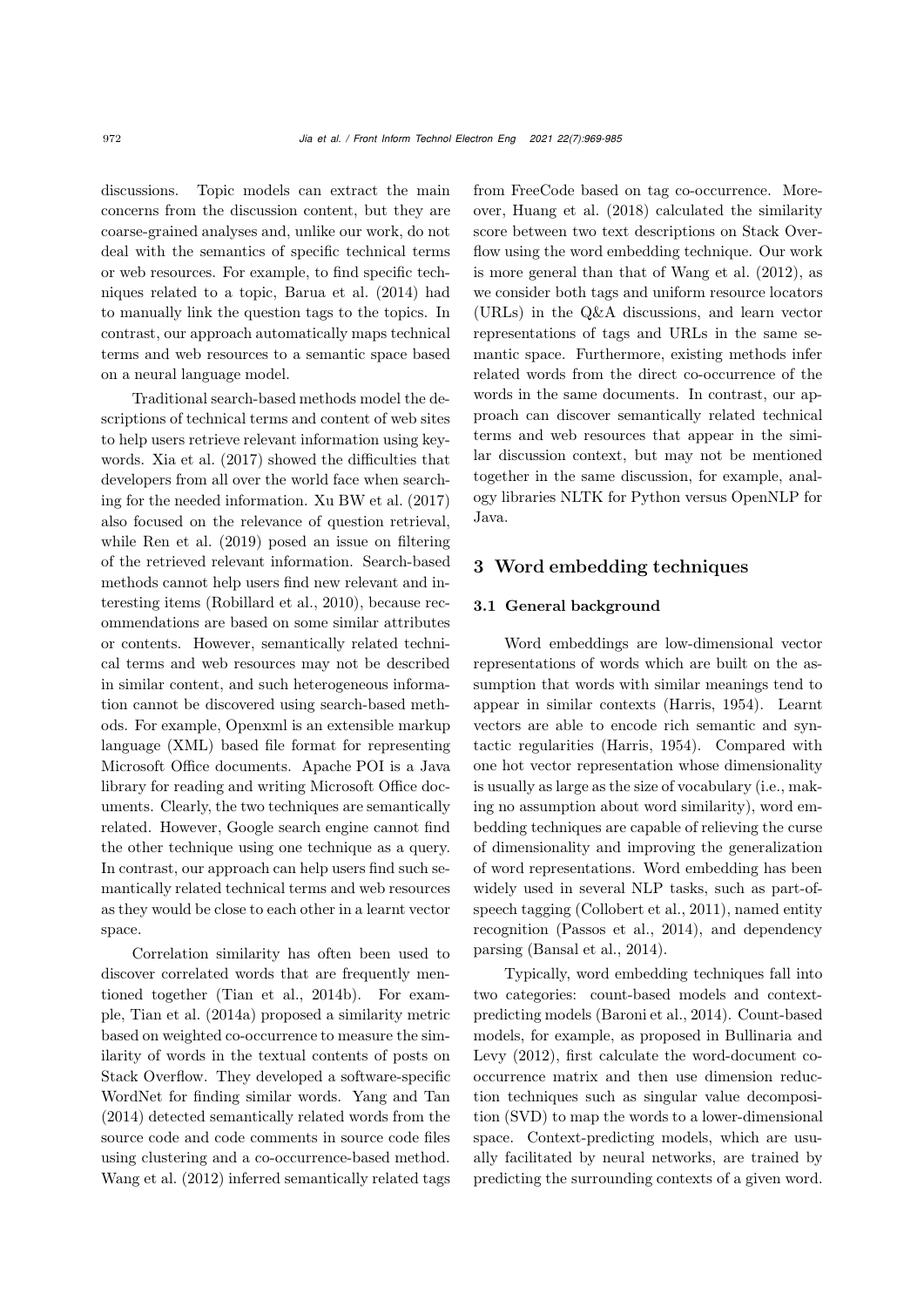discussions. Topic models can extract the main concerns from the discussion content, but they are coarse-grained analyses and, unlike our work, do not deal with the semantics of specific technical terms or web resources. For example, to find specific techniques related to a topic, [Barua et al.](#page-15-6) [\(2014](#page-15-6)) had to manually link the question tags to the topics. In contrast, our approach automatically maps technical terms and web resources to a semantic space based on a neural language model.

Traditional search-based methods model the descriptions of technical terms and content of web sites to help users retrieve relevant information using keywords. [Xia et al.](#page-16-3) [\(2017\)](#page-16-3) showed the difficulties that developers from all over the world face when searching for the needed information. [Xu BW et al.](#page-16-4) [\(2017](#page-16-4)) also focused on the relevance of question retrieval, while [Ren et al.](#page-15-7) [\(2019](#page-15-7)) posed an issue on filtering of the retrieved relevant information. Search-based methods cannot help users find new relevant and interesting items [\(Robillard et al.](#page-16-5), [2010\)](#page-16-5), because recommendations are based on some similar attributes or contents. However, semantically related technical terms and web resources may not be described in similar content, and such heterogeneous information cannot be discovered using search-based methods. For example, Openxml is an extensible markup language (XML) based file format for representing Microsoft Office documents. Apache POI is a Java library for reading and writing Microsoft Office documents. Clearly, the two techniques are semantically related. However, Google search engine cannot find the other technique using one technique as a query. In contrast, our approach can help users find such semantically related technical terms and web resources as they would be close to each other in a learnt vector space.

Correlation similarity has often been used to discover correlated words that are frequently mentioned together [\(Tian et al., 2014b\)](#page-16-6). For example, [Tian et al.](#page-16-7) [\(2014a](#page-16-7)) proposed a similarity metric based on weighted co-occurrence to measure the similarity of words in the textual contents of posts on Stack Overflow. They developed a software-specific WordNet for finding similar words. [Yang and Tan](#page-16-8) [\(2014](#page-16-8)) detected semantically related words from the source code and code comments in source code files using clustering and a co-occurrence-based method. [Wang et al.](#page-16-9) [\(2012\)](#page-16-9) inferred semantically related tags from FreeCode based on tag co-occurrence. Moreover, [Huang et al.](#page-15-8) [\(2018\)](#page-15-8) calculated the similarity score between two text descriptions on Stack Overflow using the word embedding technique. Our work is more general than that of [Wang et al.](#page-16-9) [\(2012\)](#page-16-9), as we consider both tags and uniform resource locators (URLs) in the Q&A discussions, and learn vector representations of tags and URLs in the same semantic space. Furthermore, existing methods infer related words from the direct co-occurrence of the words in the same documents. In contrast, our approach can discover semantically related technical terms and web resources that appear in the similar discussion context, but may not be mentioned together in the same discussion, for example, analogy libraries NLTK for Python versus OpenNLP for Java.

## <span id="page-3-0"></span>3 Word embedding techniques

## 3.1 General background

Word embeddings are low-dimensional vector representations of words which are built on the assumption that words with similar meanings tend to appear in similar contexts [\(Harris](#page-15-9), [1954\)](#page-15-9). Learnt vectors are able to encode rich semantic and syntactic regularities [\(Harris](#page-15-9), [1954\)](#page-15-9). Compared with one hot vector representation whose dimensionality is usually as large as the size of vocabulary (i.e., making no assumption about word similarity), word embedding techniques are capable of relieving the curse of dimensionality and improving the generalization of word representations. Word embedding has been widely used in several NLP tasks, such as part-ofspeech tagging [\(Collobert et al.](#page-15-10), [2011\)](#page-15-10), named entity recognition [\(Passos et al., 2014\)](#page-15-11), and dependency parsing [\(Bansal et al., 2014\)](#page-15-12).

Typically, word embedding techniques fall into two categories: count-based models and contextpredicting models [\(Baroni et al.](#page-15-13), [2014](#page-15-13)). Count-based mod[els,](#page-15-14) [for](#page-15-14) [example,](#page-15-14) [as](#page-15-14) [proposed](#page-15-14) [in](#page-15-14) Bullinaria and Levy [\(2012](#page-15-14)), first calculate the word-document cooccurrence matrix and then use dimension reduction techniques such as singular value decomposition (SVD) to map the words to a lower-dimensional space. Context-predicting models, which are usually facilitated by neural networks, are trained by predicting the surrounding contexts of a given word.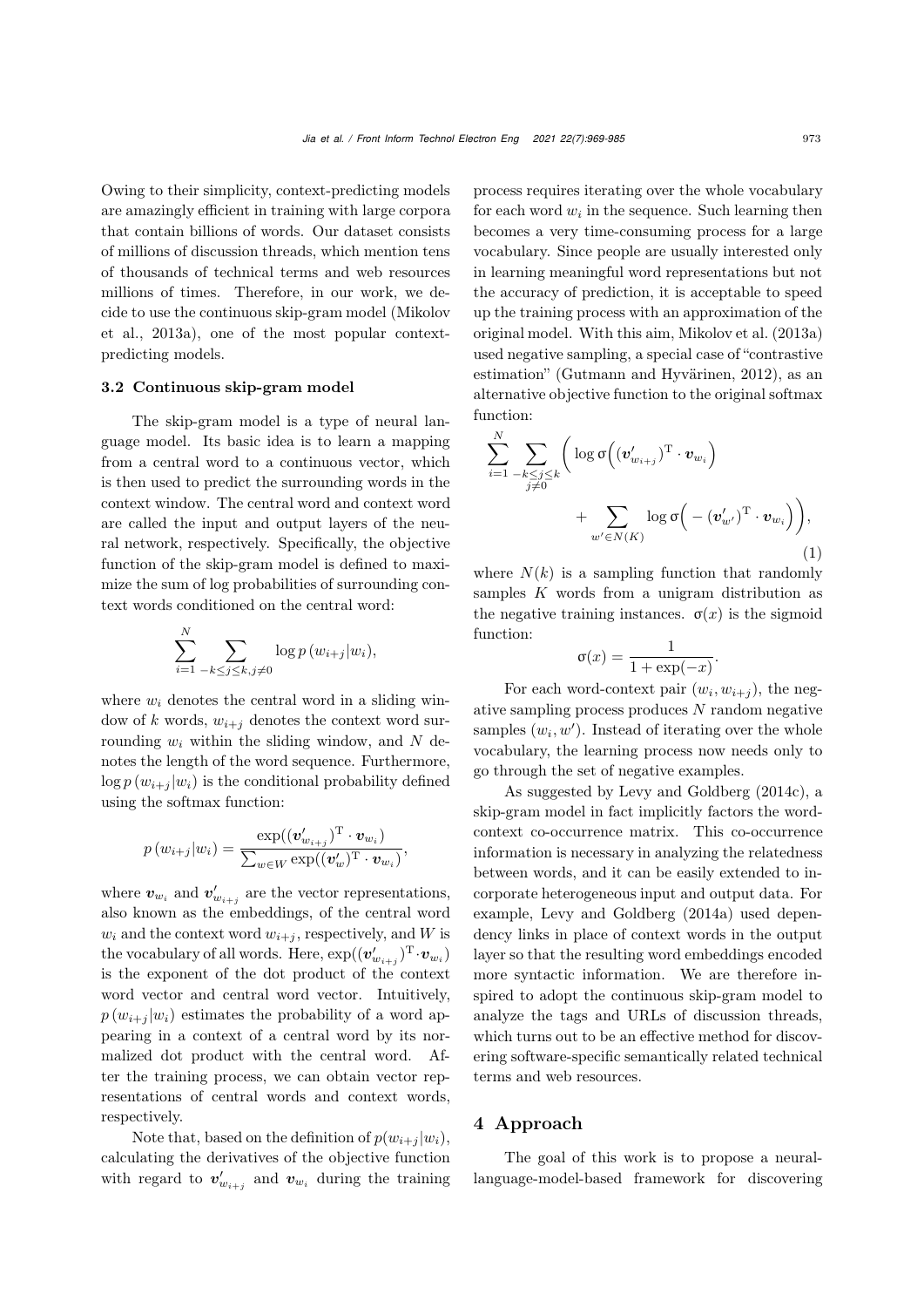Owing to their simplicity, context-predicting models are amazingly efficient in training with large corpora that contain billions of words. Our dataset consists of millions of discussion threads, which mention tens of thousands of technical terms and web resources millions of times. Therefore, in our work, we decide t[o](#page-15-3) [use](#page-15-3) [the](#page-15-3) [continuous](#page-15-3) [skip-gram](#page-15-3) [model](#page-15-3) [\(](#page-15-3)Mikolov et al., [2013a](#page-15-3)), one of the most popular contextpredicting models.

## 3.2 Continuous skip-gram model

The skip-gram model is a type of neural language model. Its basic idea is to learn a mapping from a central word to a continuous vector, which is then used to predict the surrounding words in the context window. The central word and context word are called the input and output layers of the neural network, respectively. Specifically, the objective function of the skip-gram model is defined to maximize the sum of log probabilities of surrounding context words conditioned on the central word:

$$
\sum_{i=1}^N \sum_{-k \leq j \leq k, j \neq 0} \log p(w_{i+j}|w_i),
$$

where  $w_i$  denotes the central word in a sliding window of *k* words,  $w_{i+j}$  denotes the context word surrounding *w<sup>i</sup>* within the sliding window, and *N* denotes the length of the word sequence. Furthermore,  $\log p(w_{i+j}|w_i)$  is the conditional probability defined using the softmax function:

$$
p(w_{i+j}|w_i) = \frac{\exp((\boldsymbol{v}_{w_{i+j}}')^T \cdot \boldsymbol{v}_{w_i})}{\sum_{w \in W} \exp((\boldsymbol{v}_w')^T \cdot \boldsymbol{v}_{w_i})},
$$

where  $v_{w_i}$  and  $v'_{w_{i+j}}$  are the vector representations, also known as the embeddings, of the central word  $w_i$  and the context word  $w_{i+j}$ , respectively, and *W* is the vocabulary of all words. Here,  $\exp((\mathbf{v}_{w_{i+j}}')^{\mathrm{T}} \cdot \mathbf{v}_{w_i})$ is the exponent of the dot product of the context word vector and central word vector. Intuitively,  $p(w_{i+1} | w_i)$  estimates the probability of a word appearing in a context of a central word by its normalized dot product with the central word. After the training process, we can obtain vector representations of central words and context words, respectively.

Note that, based on the definition of  $p(w_{i+j}|w_i)$ , calculating the derivatives of the objective function with regard to  $v'_{w_{i+j}}$  and  $v_{w_i}$  during the training

process requires iterating over the whole vocabulary for each word  $w_i$  in the sequence. Such learning then becomes a very time-consuming process for a large vocabulary. Since people are usually interested only in learning meaningful word representations but not the accuracy of prediction, it is acceptable to speed up the training process with an approximation of the original model. With this aim, [Mikolov et al.](#page-15-3) [\(2013a](#page-15-3)) used negative sampling, a special case of "contrastive estimation" [\(Gutmann and Hyvärinen](#page-15-15), [2012\)](#page-15-15), as an alternative objective function to the original softmax function:

$$
\sum_{i=1}^{N} \sum_{\substack{-k \leq j \leq k \\ j \neq 0}} \left( \log \sigma \left( (\boldsymbol{v}_{w_{i+j}}')^{\mathrm{T}} \cdot \boldsymbol{v}_{w_i} \right) + \sum_{w' \in N(K)} \log \sigma \left( -(\boldsymbol{v}_{w'}')^{\mathrm{T}} \cdot \boldsymbol{v}_{w_i} \right) \right),\tag{1}
$$

where  $N(k)$  is a sampling function that randomly samples *K* words from a unigram distribution as the negative training instances.  $\sigma(x)$  is the sigmoid function:

$$
\sigma(x) = \frac{1}{1 + \exp(-x)}.
$$

For each word-context pair  $(w_i, w_{i+j})$ , the negative sampling process produces *N* random negative samples  $(w_i, w')$ . Instead of iterating over the whole vocabulary, the learning process now needs only to go through the set of negative examples.

As suggested by [Levy and Goldberg](#page-15-16) [\(2014c](#page-15-16)), a skip-gram model in fact implicitly factors the wordcontext co-occurrence matrix. This co-occurrence information is necessary in analyzing the relatedness between words, and it can be easily extended to incorporate heterogeneous input and output data. For example, [Levy and Goldberg](#page-15-17) [\(2014a\)](#page-15-17) used dependency links in place of context words in the output layer so that the resulting word embeddings encoded more syntactic information. We are therefore inspired to adopt the continuous skip-gram model to analyze the tags and URLs of discussion threads, which turns out to be an effective method for discovering software-specific semantically related technical terms and web resources.

## <span id="page-4-0"></span>4 Approach

The goal of this work is to propose a neurallanguage-model-based framework for discovering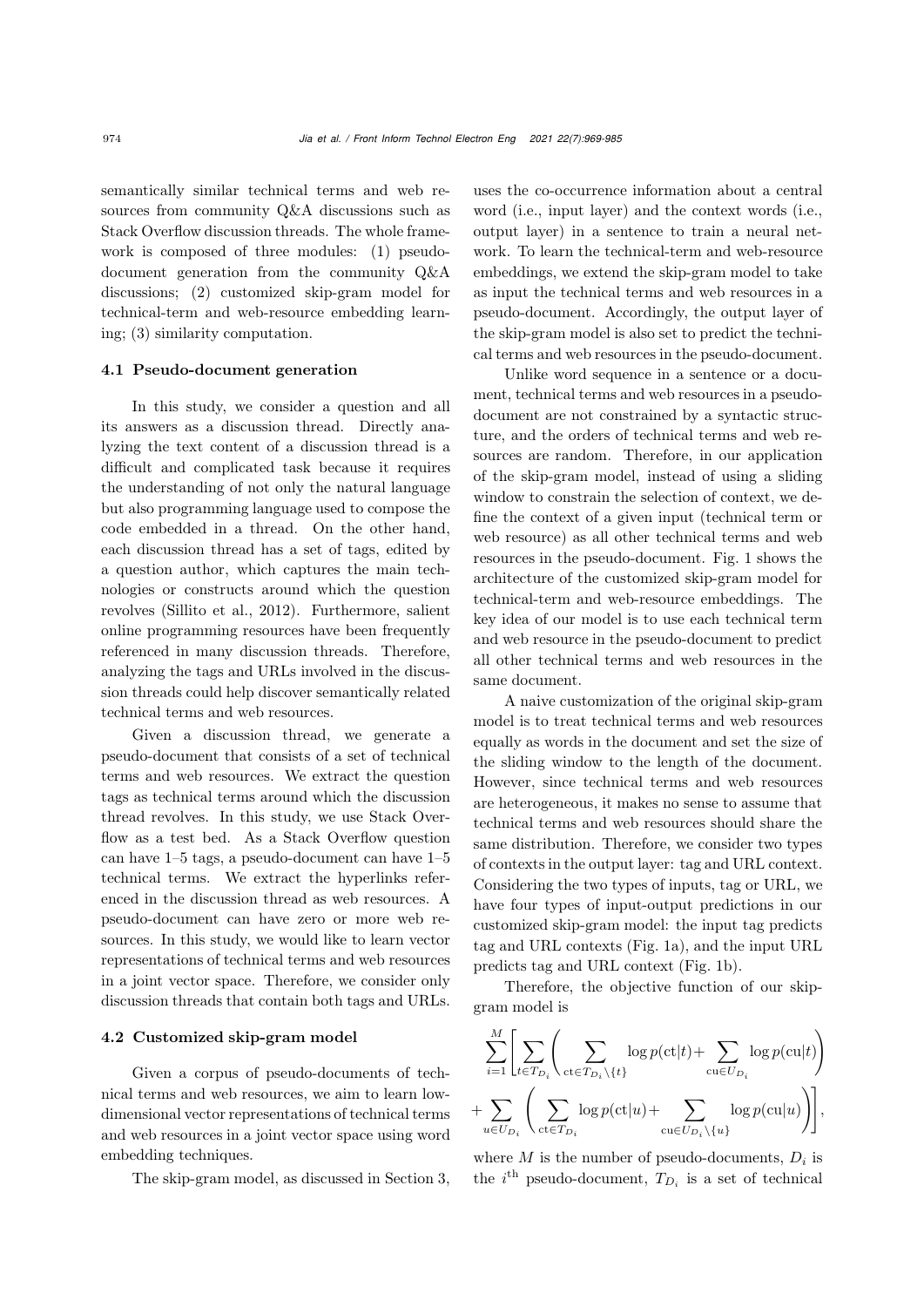semantically similar technical terms and web resources from community Q&A discussions such as Stack Overflow discussion threads. The whole framework is composed of three modules: (1) pseudodocument generation from the community Q&A discussions; (2) customized skip-gram model for technical-term and web-resource embedding learning; (3) similarity computation.

#### 4.1 Pseudo-document generation

In this study, we consider a question and all its answers as a discussion thread. Directly analyzing the text content of a discussion thread is a difficult and complicated task because it requires the understanding of not only the natural language but also programming language used to compose the code embedded in a thread. On the other hand, each discussion thread has a set of tags, edited by a question author, which captures the main technologies or constructs around which the question revolves [\(Sillito et al.](#page-16-0), [2012](#page-16-0)). Furthermore, salient online programming resources have been frequently referenced in many discussion threads. Therefore, analyzing the tags and URLs involved in the discussion threads could help discover semantically related technical terms and web resources.

Given a discussion thread, we generate a pseudo-document that consists of a set of technical terms and web resources. We extract the question tags as technical terms around which the discussion thread revolves. In this study, we use Stack Overflow as a test bed. As a Stack Overflow question can have 1–5 tags, a pseudo-document can have 1–5 technical terms. We extract the hyperlinks referenced in the discussion thread as web resources. A pseudo-document can have zero or more web resources. In this study, we would like to learn vector representations of technical terms and web resources in a joint vector space. Therefore, we consider only discussion threads that contain both tags and URLs.

#### 4.2 Customized skip-gram model

Given a corpus of pseudo-documents of technical terms and web resources, we aim to learn lowdimensional vector representations of technical terms and web resources in a joint vector space using word embedding techniques.

The skip-gram model, as discussed in Section [3,](#page-3-0)

uses the co-occurrence information about a central word (i.e., input layer) and the context words (i.e., output layer) in a sentence to train a neural network. To learn the technical-term and web-resource embeddings, we extend the skip-gram model to take as input the technical terms and web resources in a pseudo-document. Accordingly, the output layer of the skip-gram model is also set to predict the technical terms and web resources in the pseudo-document.

Unlike word sequence in a sentence or a document, technical terms and web resources in a pseudodocument are not constrained by a syntactic structure, and the orders of technical terms and web resources are random. Therefore, in our application of the skip-gram model, instead of using a sliding window to constrain the selection of context, we define the context of a given input (technical term or web resource) as all other technical terms and web resources in the pseudo-document. Fig. [1](#page-6-0) shows the architecture of the customized skip-gram model for technical-term and web-resource embeddings. The key idea of our model is to use each technical term and web resource in the pseudo-document to predict all other technical terms and web resources in the same document.

A naive customization of the original skip-gram model is to treat technical terms and web resources equally as words in the document and set the size of the sliding window to the length of the document. However, since technical terms and web resources are heterogeneous, it makes no sense to assume that technical terms and web resources should share the same distribution. Therefore, we consider two types of contexts in the output layer: tag and URL context. Considering the two types of inputs, tag or URL, we have four types of input-output predictions in our customized skip-gram model: the input tag predicts tag and URL contexts (Fig. [1a](#page-6-0)), and the input URL predicts tag and URL context (Fig. [1b](#page-6-0)).

Therefore, the objective function of our skipgram model is

$$
\sum_{i=1}^{M} \left[ \sum_{t \in T_{D_i}} \left( \sum_{\mathrm{ct} \in T_{D_i} \setminus \{t\}} \log p(\mathrm{ct}|t) + \sum_{\mathrm{cu} \in U_{D_i}} \log p(\mathrm{cu}|t) \right) + \sum_{u \in U_{D_i}} \left( \sum_{\mathrm{ct} \in T_{D_i}} \log p(\mathrm{ct}|u) + \sum_{\mathrm{cu} \in U_{D_i} \setminus \{u\}} \log p(\mathrm{cu}|u) \right) \right],
$$

where *M* is the number of pseudo-documents,  $D_i$  is the  $i^{\text{th}}$  pseudo-document,  $T_{D_i}$  is a set of technical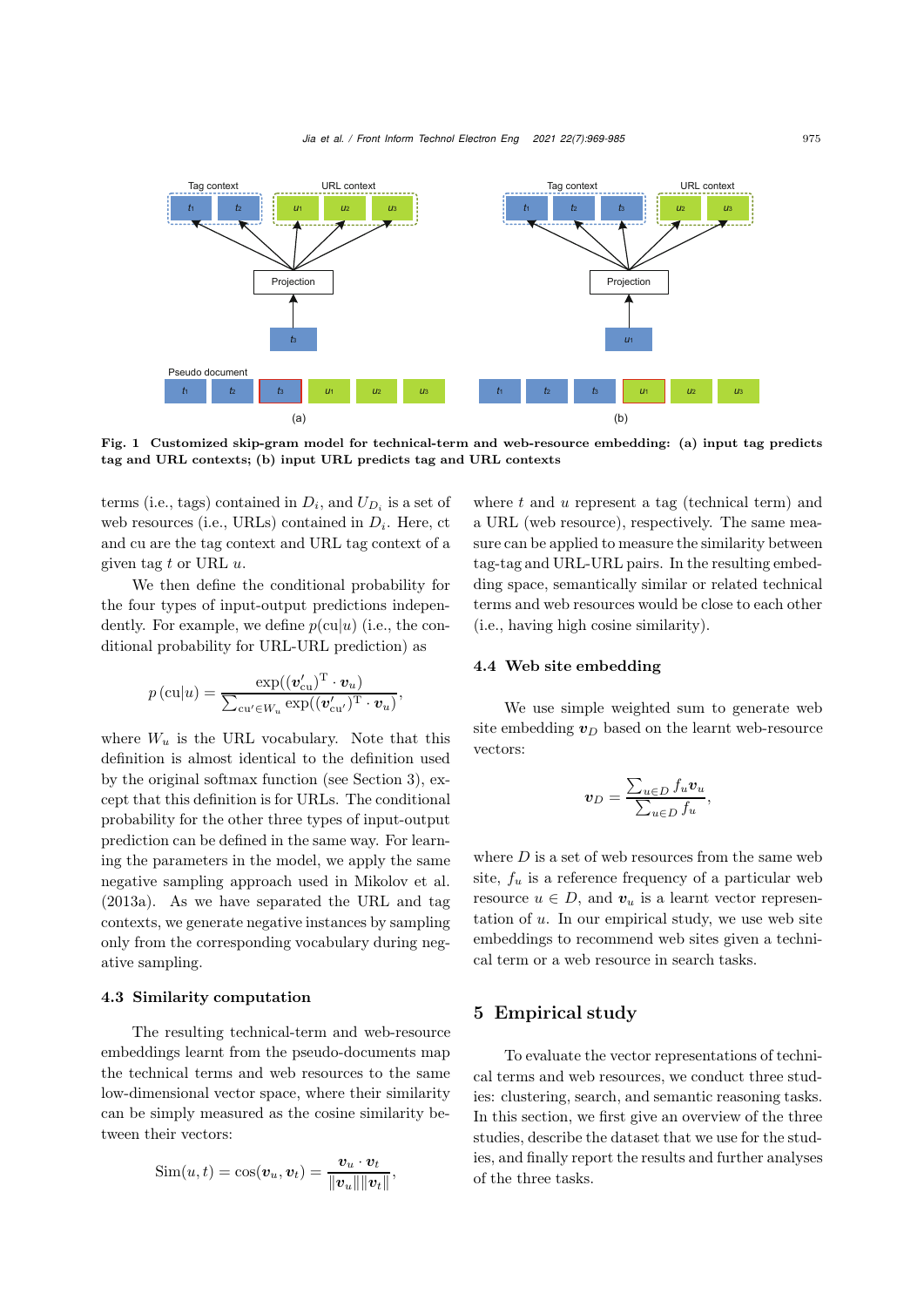

<span id="page-6-0"></span>Fig. 1 Customized skip-gram model for technical-term and web-resource embedding: (a) input tag predicts tag and URL contexts; (b) input URL predicts tag and URL contexts

terms (i.e., tags) contained in  $D_i$ , and  $U_{D_i}$  is a set of web resources (i.e., URLs) contained in  $D_i$ . Here, ct and cu are the tag context and URL tag context of a given tag *t* or URL *u*.

We then define the conditional probability for the four types of input-output predictions independently. For example, we define  $p(cu|u)$  (i.e., the conditional probability for URL-URL prediction) as

$$
p\left(\text{cu}|u\right) = \frac{\exp((\boldsymbol{v}_{\text{cu}}')^{\text{T}} \cdot \boldsymbol{v}_{u})}{\sum_{\text{cu}' \in W_{u}} \exp((\boldsymbol{v}_{\text{cu}}')^{\text{T}} \cdot \boldsymbol{v}_{u})},
$$

where  $W_u$  is the URL vocabulary. Note that this definition is almost identical to the definition used by the original softmax function (see Section [3\)](#page-3-0), except that this definition is for URLs. The conditional probability for the other three types of input-output prediction can be defined in the same way. For learning the parameters in the model, we apply the same negative sampling approach used in [Mikolov et al.](#page-15-3) [\(2013a](#page-15-3)). As we have separated the URL and tag contexts, we generate negative instances by sampling only from the corresponding vocabulary during negative sampling.

#### 4.3 Similarity computation

The resulting technical-term and web-resource embeddings learnt from the pseudo-documents map the technical terms and web resources to the same low-dimensional vector space, where their similarity can be simply measured as the cosine similarity between their vectors:

$$
Sim(u, t) = cos(\boldsymbol{v}_u, \boldsymbol{v}_t) = \frac{\boldsymbol{v}_u \cdot \boldsymbol{v}_t}{\|\boldsymbol{v}_u\| \|\boldsymbol{v}_t\|},
$$

where *t* and *u* represent a tag (technical term) and a URL (web resource), respectively. The same measure can be applied to measure the similarity between tag-tag and URL-URL pairs. In the resulting embedding space, semantically similar or related technical terms and web resources would be close to each other (i.e., having high cosine similarity).

#### 4.4 Web site embedding

We use simple weighted sum to generate web site embedding  $v_D$  based on the learnt web-resource vectors:

$$
\boldsymbol{v}_D = \frac{\sum_{u \in D} f_u \boldsymbol{v}_u}{\sum_{u \in D} f_u},
$$

where  $D$  is a set of web resources from the same web site,  $f_u$  is a reference frequency of a particular web resource  $u \in D$ , and  $v_u$  is a learnt vector representation of *u*. In our empirical study, we use web site embeddings to recommend web sites given a technical term or a web resource in search tasks.

## 5 Empirical study

To evaluate the vector representations of technical terms and web resources, we conduct three studies: clustering, search, and semantic reasoning tasks. In this section, we first give an overview of the three studies, describe the dataset that we use for the studies, and finally report the results and further analyses of the three tasks.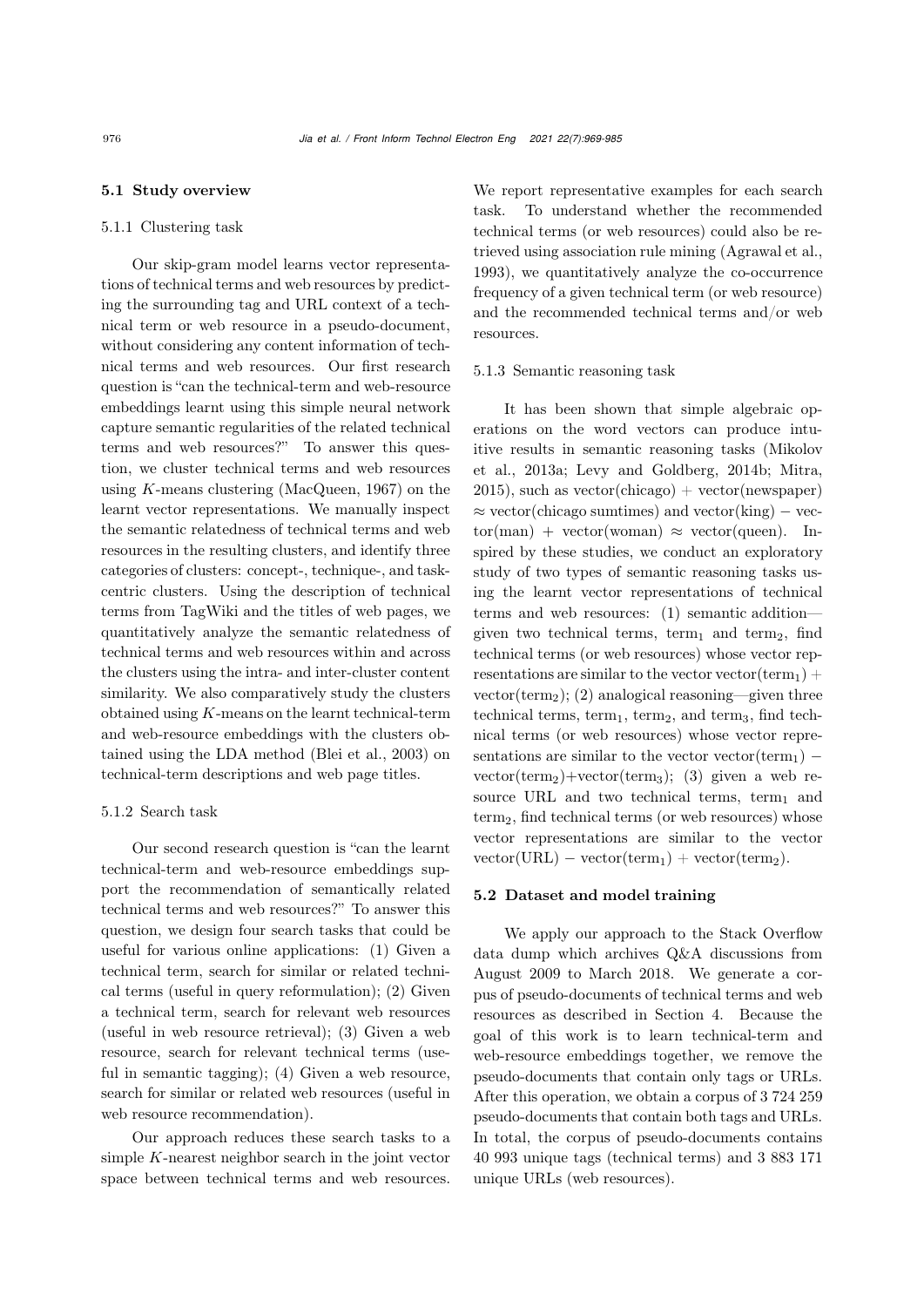#### 5.1 Study overview

## 5.1.1 Clustering task

Our skip-gram model learns vector representations of technical terms and web resources by predicting the surrounding tag and URL context of a technical term or web resource in a pseudo-document, without considering any content information of technical terms and web resources. Our first research question is "can the technical-term and web-resource embeddings learnt using this simple neural network capture semantic regularities of the related technical terms and web resources?" To answer this question, we cluster technical terms and web resources using *K*-means clustering [\(MacQueen, 1967\)](#page-15-18) on the learnt vector representations. We manually inspect the semantic relatedness of technical terms and web resources in the resulting clusters, and identify three categories of clusters: concept-, technique-, and taskcentric clusters. Using the description of technical terms from TagWiki and the titles of web pages, we quantitatively analyze the semantic relatedness of technical terms and web resources within and across the clusters using the intra- and inter-cluster content similarity. We also comparatively study the clusters obtained using *K*-means on the learnt technical-term and web-resource embeddings with the clusters obtained using the LDA method [\(Blei et al.](#page-15-1), [2003\)](#page-15-1) on technical-term descriptions and web page titles.

#### 5.1.2 Search task

Our second research question is "can the learnt technical-term and web-resource embeddings support the recommendation of semantically related technical terms and web resources?" To answer this question, we design four search tasks that could be useful for various online applications: (1) Given a technical term, search for similar or related technical terms (useful in query reformulation); (2) Given a technical term, search for relevant web resources (useful in web resource retrieval); (3) Given a web resource, search for relevant technical terms (useful in semantic tagging); (4) Given a web resource, search for similar or related web resources (useful in web resource recommendation).

Our approach reduces these search tasks to a simple *K*-nearest neighbor search in the joint vector space between technical terms and web resources.

We report representative examples for each search task. To understand whether the recommended technical terms (or web resources) could also be retrieved using association rule mining [\(Agrawal et al.](#page-15-2), [1993](#page-15-2)), we quantitatively analyze the co-occurrence frequency of a given technical term (or web resource) and the recommended technical terms and/or web resources.

#### 5.1.3 Semantic reasoning task

It has been shown that simple algebraic operations on the word vectors can produce intuitive [results](#page-15-3) [in](#page-15-3) [semantic](#page-15-3) [reasoning](#page-15-3) [tasks](#page-15-3) [\(](#page-15-3)Mikolov et al., [2013a](#page-15-3); [Levy and Goldberg](#page-15-19), [2014b](#page-15-19); [Mitra](#page-15-20),  $2015$ ), such as vector(chicago) + vector(newspaper)  $\approx$  vector(chicago sumtimes) and vector(king) – vec- $\text{tor}(\text{man}) + \text{vector}(\text{woman}) \approx \text{vector}(queen)$ . Inspired by these studies, we conduct an exploratory study of two types of semantic reasoning tasks using the learnt vector representations of technical terms and web resources: (1) semantic addition given two technical terms, term<sub>1</sub> and term<sub>2</sub>, find technical terms (or web resources) whose vector representations are similar to the vector vector(term<sub>1</sub>) + vector(term<sub>2</sub>); (2) analogical reasoning—given three technical terms, term<sub>1</sub>, term<sub>2</sub>, and term<sub>3</sub>, find technical terms (or web resources) whose vector representations are similar to the vector vector(term<sub>1</sub>) –  $vector(term<sub>2</sub>) + vector(term<sub>3</sub>);$  (3) given a web resource URL and two technical terms, term<sub>1</sub> and  $term<sub>2</sub>$ , find technical terms (or web resources) whose vector representations are similar to the vector  $vector(URL) - vector(term<sub>1</sub>) + vector(term<sub>2</sub>).$ 

#### 5.2 Dataset and model training

We apply our approach to the Stack Overflow data dump which archives Q&A discussions from August 2009 to March 2018. We generate a corpus of pseudo-documents of technical terms and web resources as described in Section [4.](#page-4-0) Because the goal of this work is to learn technical-term and web-resource embeddings together, we remove the pseudo-documents that contain only tags or URLs. After this operation, we obtain a corpus of 3 724 259 pseudo-documents that contain both tags and URLs. In total, the corpus of pseudo-documents contains 40 993 unique tags (technical terms) and 3 883 171 unique URLs (web resources).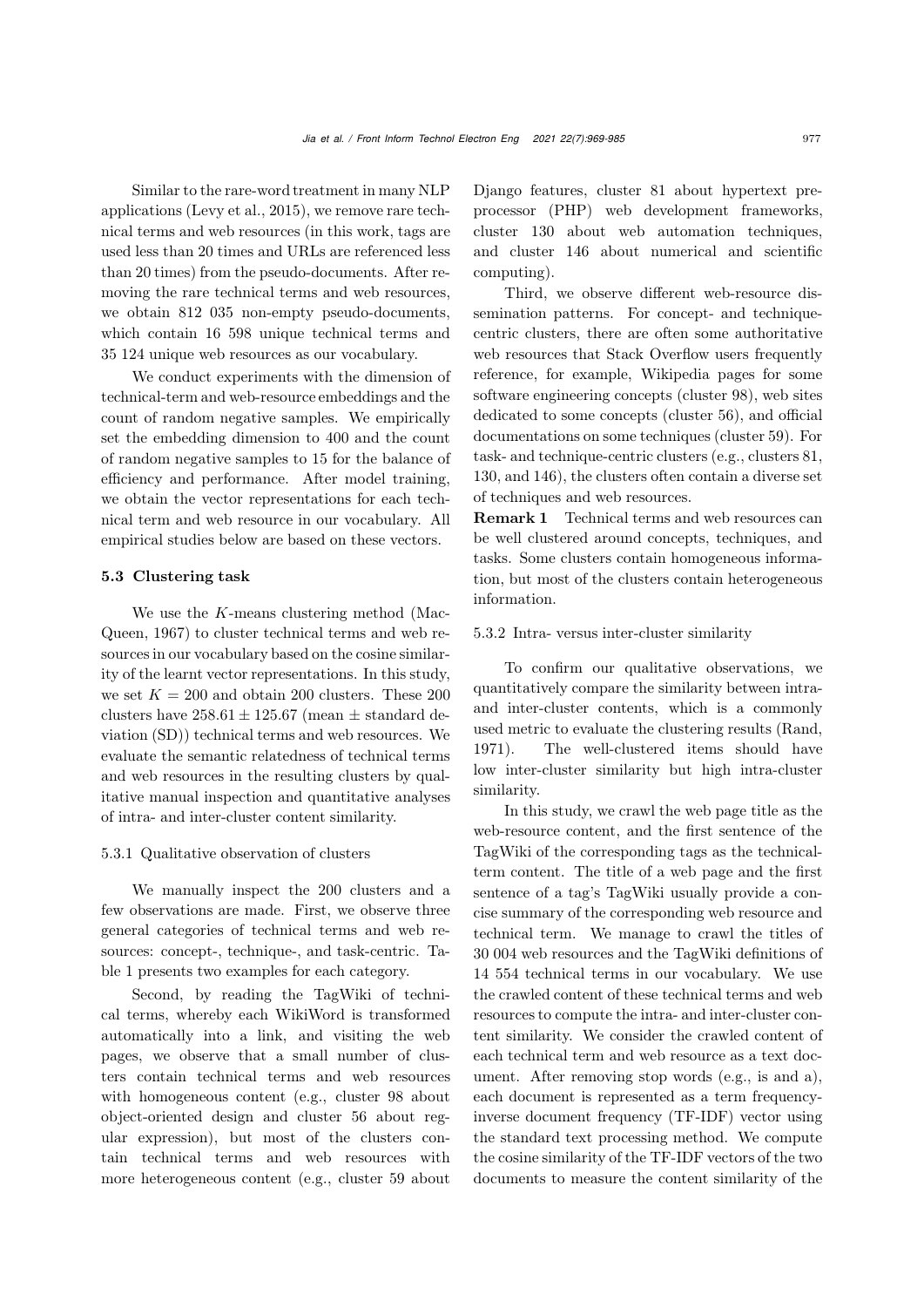Similar to the rare-word treatment in many NLP applications [\(Levy et al.](#page-15-21), [2015\)](#page-15-21), we remove rare technical terms and web resources (in this work, tags are used less than 20 times and URLs are referenced less than 20 times) from the pseudo-documents. After removing the rare technical terms and web resources, we obtain 812 035 non-empty pseudo-documents, which contain 16 598 unique technical terms and 35 124 unique web resources as our vocabulary.

We conduct experiments with the dimension of technical-term and web-resource embeddings and the count of random negative samples. We empirically set the embedding dimension to 400 and the count of random negative samples to 15 for the balance of efficiency and performance. After model training, we obtain the vector representations for each technical term and web resource in our vocabulary. All empirical studies below are based on these vectors.

## 5.3 Clustering task

We use the *K*[-means](#page-15-18) [clustering](#page-15-18) [method](#page-15-18) [\(](#page-15-18)Mac-Queen, [1967\)](#page-15-18) to cluster technical terms and web resources in our vocabulary based on the cosine similarity of the learnt vector representations. In this study, we set  $K = 200$  and obtain 200 clusters. These 200 clusters have  $258.61 \pm 125.67$  (mean  $\pm$  standard deviation (SD)) technical terms and web resources. We evaluate the semantic relatedness of technical terms and web resources in the resulting clusters by qualitative manual inspection and quantitative analyses of intra- and inter-cluster content similarity.

#### 5.3.1 Qualitative observation of clusters

We manually inspect the 200 clusters and a few observations are made. First, we observe three general categories of technical terms and web resources: concept-, technique-, and task-centric. Table [1](#page-1-0) presents two examples for each category.

Second, by reading the TagWiki of technical terms, whereby each WikiWord is transformed automatically into a link, and visiting the web pages, we observe that a small number of clusters contain technical terms and web resources with homogeneous content (e.g., cluster 98 about object-oriented design and cluster 56 about regular expression), but most of the clusters contain technical terms and web resources with more heterogeneous content (e.g., cluster 59 about

Django features, cluster 81 about hypertext preprocessor (PHP) web development frameworks, cluster 130 about web automation techniques, and cluster 146 about numerical and scientific computing).

Third, we observe different web-resource dissemination patterns. For concept- and techniquecentric clusters, there are often some authoritative web resources that Stack Overflow users frequently reference, for example, Wikipedia pages for some software engineering concepts (cluster 98), web sites dedicated to some concepts (cluster 56), and official documentations on some techniques (cluster 59). For task- and technique-centric clusters (e.g., clusters 81, 130, and 146), the clusters often contain a diverse set of techniques and web resources.

Remark 1 Technical terms and web resources can be well clustered around concepts, techniques, and tasks. Some clusters contain homogeneous information, but most of the clusters contain heterogeneous information.

#### 5.3.2 Intra- versus inter-cluster similarity

To confirm our qualitative observations, we quantitatively compare the similarity between intraand inter-cluster contents, which is a commonly used metric to evaluate the clustering results [\(Rand](#page-15-22), [1971](#page-15-22)). The well-clustered items should have low inter-cluster similarity but high intra-cluster similarity.

In this study, we crawl the web page title as the web-resource content, and the first sentence of the TagWiki of the corresponding tags as the technicalterm content. The title of a web page and the first sentence of a tag's TagWiki usually provide a concise summary of the corresponding web resource and technical term. We manage to crawl the titles of 30 004 web resources and the TagWiki definitions of 14 554 technical terms in our vocabulary. We use the crawled content of these technical terms and web resources to compute the intra- and inter-cluster content similarity. We consider the crawled content of each technical term and web resource as a text document. After removing stop words (e.g., is and a), each document is represented as a term frequencyinverse document frequency (TF-IDF) vector using the standard text processing method. We compute the cosine similarity of the TF-IDF vectors of the two documents to measure the content similarity of the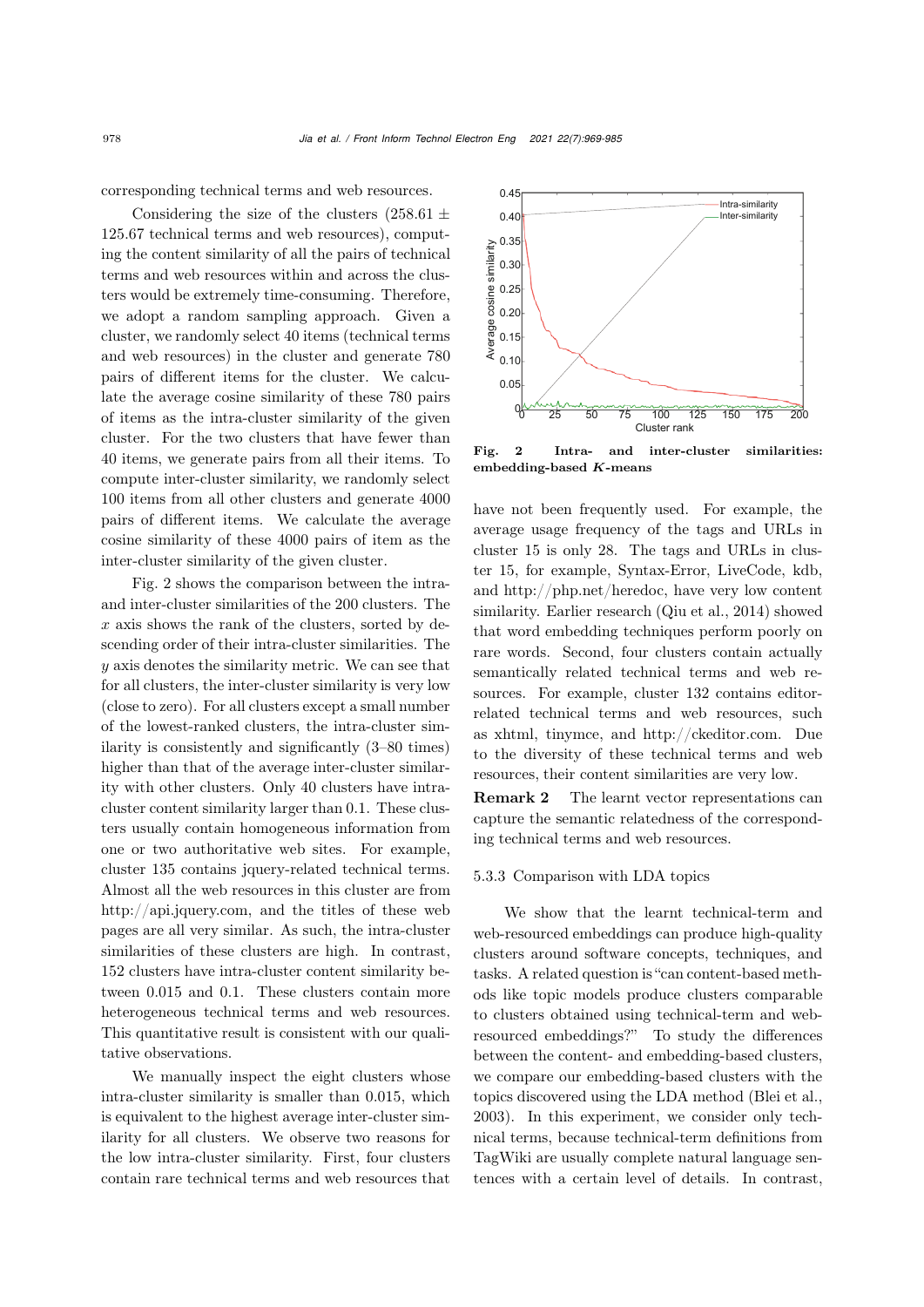corresponding technical terms and web resources.

Considering the size of the clusters  $(258.61 \pm$ 125*.*67 technical terms and web resources), computing the content similarity of all the pairs of technical terms and web resources within and across the clusters would be extremely time-consuming. Therefore, we adopt a random sampling approach. Given a cluster, we randomly select 40 items (technical terms and web resources) in the cluster and generate 780 pairs of different items for the cluster. We calculate the average cosine similarity of these 780 pairs of items as the intra-cluster similarity of the given cluster. For the two clusters that have fewer than 40 items, we generate pairs from all their items. To compute inter-cluster similarity, we randomly select 100 items from all other clusters and generate 4000 pairs of different items. We calculate the average cosine similarity of these 4000 pairs of item as the inter-cluster similarity of the given cluster.

Fig. [2](#page-9-0) shows the comparison between the intraand inter-cluster similarities of the 200 clusters. The *x* axis shows the rank of the clusters, sorted by descending order of their intra-cluster similarities. The *y* axis denotes the similarity metric. We can see that for all clusters, the inter-cluster similarity is very low (close to zero). For all clusters except a small number of the lowest-ranked clusters, the intra-cluster similarity is consistently and significantly (3–80 times) higher than that of the average inter-cluster similarity with other clusters. Only 40 clusters have intracluster content similarity larger than 0.1. These clusters usually contain homogeneous information from one or two authoritative web sites. For example, cluster 135 contains jquery-related technical terms. Almost all the web resources in this cluster are from http://api.jquery.com, and the titles of these web pages are all very similar. As such, the intra-cluster similarities of these clusters are high. In contrast, 152 clusters have intra-cluster content similarity between 0.015 and 0.1. These clusters contain more heterogeneous technical terms and web resources. This quantitative result is consistent with our qualitative observations.

We manually inspect the eight clusters whose intra-cluster similarity is smaller than 0.015, which is equivalent to the highest average inter-cluster similarity for all clusters. We observe two reasons for the low intra-cluster similarity. First, four clusters contain rare technical terms and web resources that



<span id="page-9-0"></span>Fig. 2 Intra- and inter-cluster similarities: embedding-based *K*-means

have not been frequently used. For example, the average usage frequency of the tags and URLs in cluster 15 is only 28. The tags and URLs in cluster 15, for example, Syntax-Error, LiveCode, kdb, and http://php.net/heredoc, have very low content similarity. Earlier research [\(Qiu et al., 2014\)](#page-15-23) showed that word embedding techniques perform poorly on rare words. Second, four clusters contain actually semantically related technical terms and web resources. For example, cluster 132 contains editorrelated technical terms and web resources, such as xhtml, tinymce, and http://ckeditor.com. Due to the diversity of these technical terms and web resources, their content similarities are very low.

Remark 2 The learnt vector representations can capture the semantic relatedness of the corresponding technical terms and web resources.

#### 5.3.3 Comparison with LDA topics

We show that the learnt technical-term and web-resourced embeddings can produce high-quality clusters around software concepts, techniques, and tasks. A related question is "can content-based methods like topic models produce clusters comparable to clusters obtained using technical-term and webresourced embeddings?" To study the differences between the content- and embedding-based clusters, we compare our embedding-based clusters with the topics discovered using the LDA method [\(Blei et al.](#page-15-1), [2003](#page-15-1)). In this experiment, we consider only technical terms, because technical-term definitions from TagWiki are usually complete natural language sentences with a certain level of details. In contrast,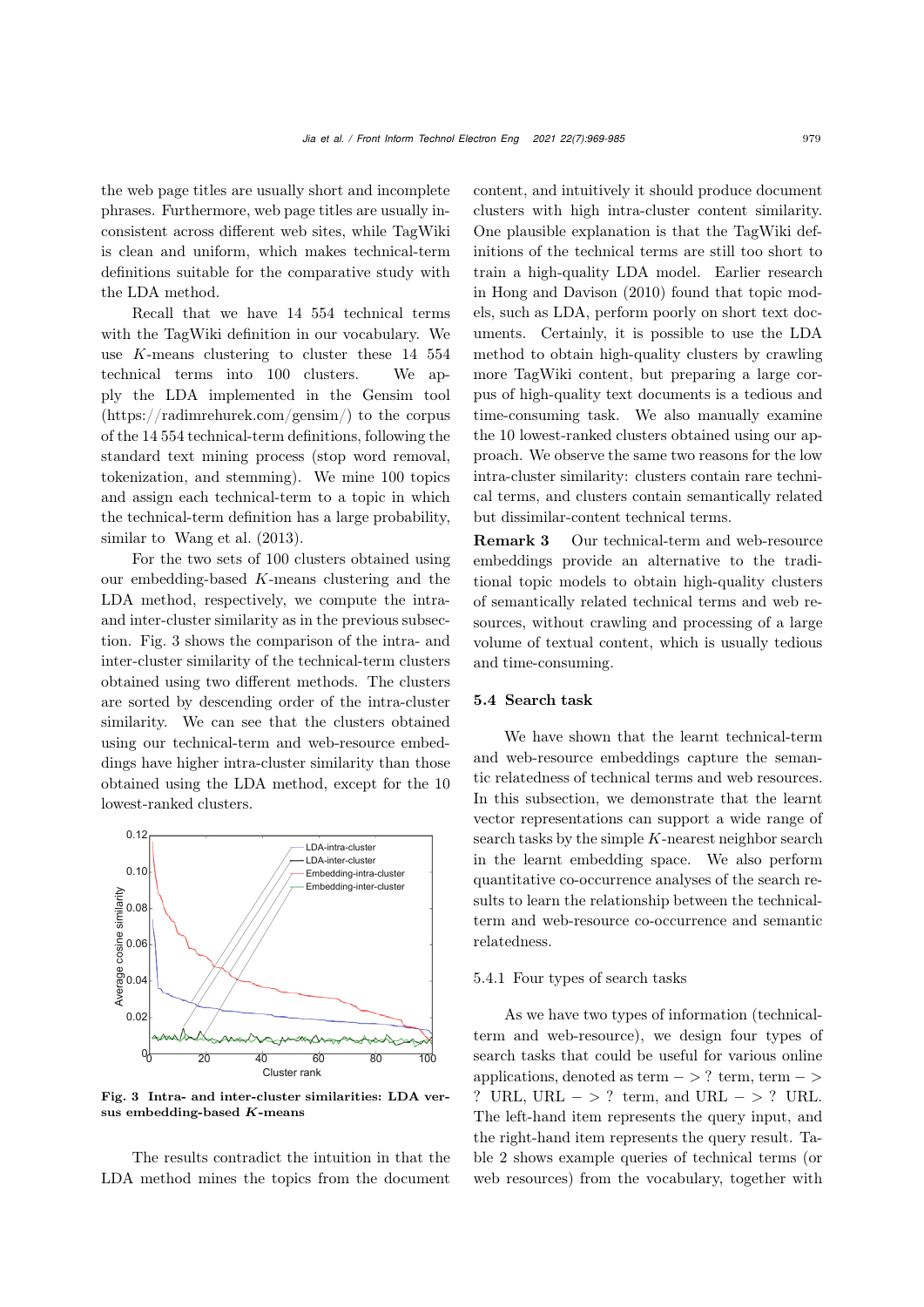the web page titles are usually short and incomplete phrases. Furthermore, web page titles are usually inconsistent across different web sites, while TagWiki is clean and uniform, which makes technical-term definitions suitable for the comparative study with the LDA method.

Recall that we have 14 554 technical terms with the TagWiki definition in our vocabulary. We use *K*-means clustering to cluster these 14 554 technical terms into 100 clusters. We apply the LDA implemented in the Gensim tool (https://radimrehurek.com/gensim/) to the corpus of the 14 554 technical-term definitions, following the standard text mining process (stop word removal, tokenization, and stemming). We mine 100 topics and assign each technical-term to a topic in which the technical-term definition has a large probability, similar to [Wang et al.](#page-16-1)  $(2013)$  $(2013)$ .

For the two sets of 100 clusters obtained using our embedding-based *K*-means clustering and the LDA method, respectively, we compute the intraand inter-cluster similarity as in the previous subsection. Fig. [3](#page-10-0) shows the comparison of the intra- and inter-cluster similarity of the technical-term clusters obtained using two different methods. The clusters are sorted by descending order of the intra-cluster similarity. We can see that the clusters obtained using our technical-term and web-resource embeddings have higher intra-cluster similarity than those obtained using the LDA method, except for the 10 lowest-ranked clusters.



<span id="page-10-0"></span>Fig. 3 Intra- and inter-cluster similarities: LDA versus embedding-based *K*-means

The results contradict the intuition in that the LDA method mines the topics from the document

content, and intuitively it should produce document clusters with high intra-cluster content similarity. One plausible explanation is that the TagWiki definitions of the technical terms are still too short to train a high-quality LDA model. Earlier research in [Hong and Davison](#page-15-24) [\(2010](#page-15-24)) found that topic models, such as LDA, perform poorly on short text documents. Certainly, it is possible to use the LDA method to obtain high-quality clusters by crawling more TagWiki content, but preparing a large corpus of high-quality text documents is a tedious and time-consuming task. We also manually examine the 10 lowest-ranked clusters obtained using our approach. We observe the same two reasons for the low intra-cluster similarity: clusters contain rare technical terms, and clusters contain semantically related but dissimilar-content technical terms.

Remark 3 Our technical-term and web-resource embeddings provide an alternative to the traditional topic models to obtain high-quality clusters of semantically related technical terms and web resources, without crawling and processing of a large volume of textual content, which is usually tedious and time-consuming.

#### 5.4 Search task

We have shown that the learnt technical-term and web-resource embeddings capture the semantic relatedness of technical terms and web resources. In this subsection, we demonstrate that the learnt vector representations can support a wide range of search tasks by the simple *K*-nearest neighbor search in the learnt embedding space. We also perform quantitative co-occurrence analyses of the search results to learn the relationship between the technicalterm and web-resource co-occurrence and semantic relatedness.

#### 5.4.1 Four types of search tasks

As we have two types of information (technicalterm and web-resource), we design four types of search tasks that could be useful for various online applications, denoted as term − *>* ? term, term − *>* ? URL, URL − *>* ? term, and URL − *>* ? URL. The left-hand item represents the query input, and the right-hand item represents the query result. Table [2](#page-11-0) shows example queries of technical terms (or web resources) from the vocabulary, together with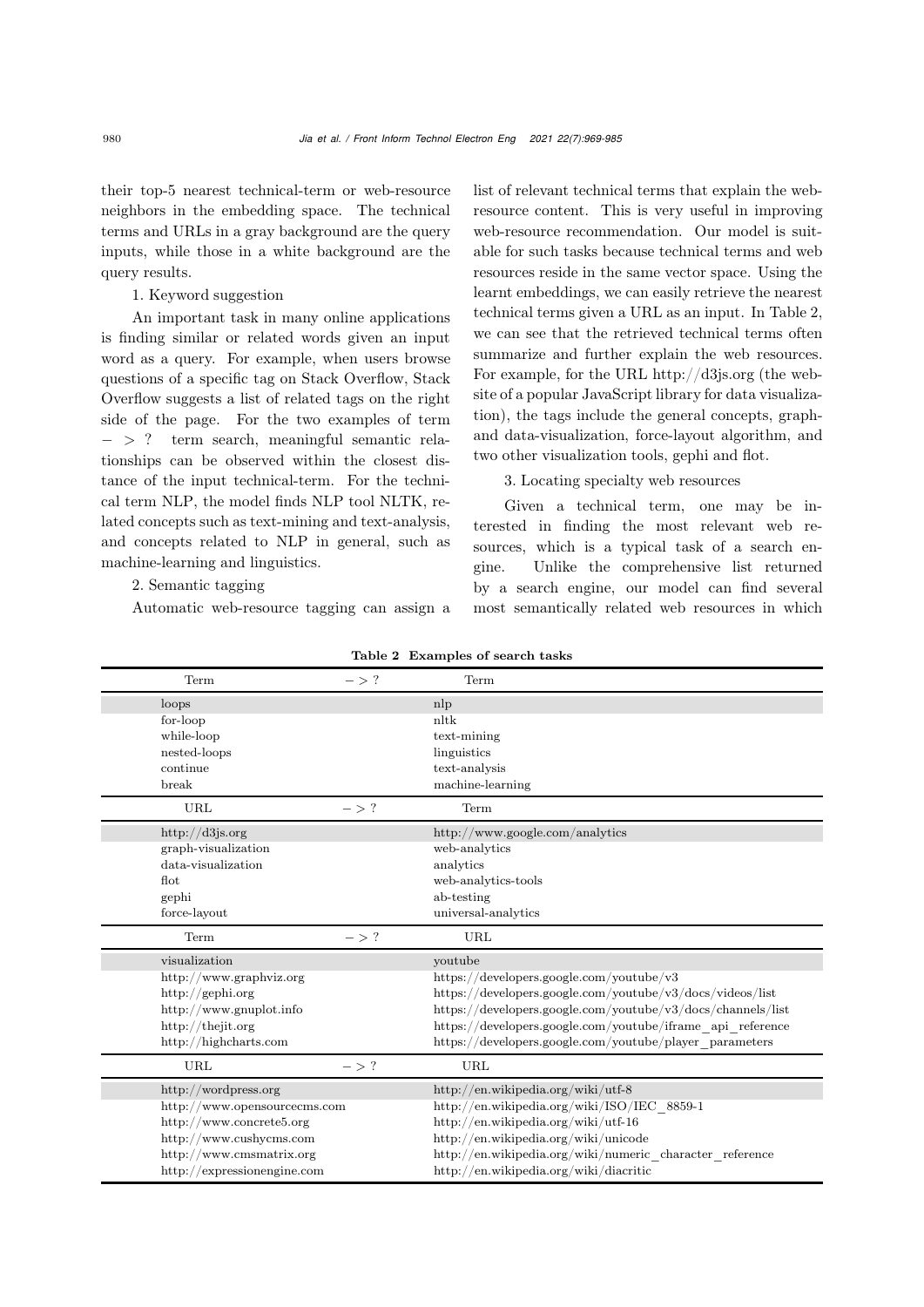their top-5 nearest technical-term or web-resource neighbors in the embedding space. The technical terms and URLs in a gray background are the query inputs, while those in a white background are the query results.

## 1. Keyword suggestion

An important task in many online applications is finding similar or related words given an input word as a query. For example, when users browse questions of a specific tag on Stack Overflow, Stack Overflow suggests a list of related tags on the right side of the page. For the two examples of term − *>* ? term search, meaningful semantic relationships can be observed within the closest distance of the input technical-term. For the technical term NLP, the model finds NLP tool NLTK, related concepts such as text-mining and text-analysis, and concepts related to NLP in general, such as machine-learning and linguistics.

# 2. Semantic tagging

Automatic web-resource tagging can assign a

list of relevant technical terms that explain the webresource content. This is very useful in improving web-resource recommendation. Our model is suitable for such tasks because technical terms and web resources reside in the same vector space. Using the learnt embeddings, we can easily retrieve the nearest technical terms given a URL as an input. In Table [2,](#page-11-0) we can see that the retrieved technical terms often summarize and further explain the web resources. For example, for the URL http://d3js.org (the website of a popular JavaScript library for data visualization), the tags include the general concepts, graphand data-visualization, force-layout algorithm, and two other visualization tools, gephi and flot.

3. Locating specialty web resources

Given a technical term, one may be interested in finding the most relevant web resources, which is a typical task of a search engine. Unlike the comprehensive list returned by a search engine, our model can find several most semantically related web resources in which

| Term                         | $-$ > ? | Term                                                        |
|------------------------------|---------|-------------------------------------------------------------|
| loops                        |         | nlp                                                         |
| for-loop                     |         | nltk                                                        |
| while-loop                   |         | text-mining                                                 |
| nested-loops                 |         | linguistics                                                 |
| continue                     |         | text-analysis                                               |
| break                        |         | machine-learning                                            |
| URL                          | $-$ > ? | Term                                                        |
| http://d3js.org              |         | http://www.google.com/analytics                             |
| graph-visualization          |         | web-analytics                                               |
| data-visualization           |         | analytics                                                   |
| $\operatorname{Hot}$         |         | web-analytics-tools                                         |
| gephi                        |         | ab-testing                                                  |
| force-layout                 |         | universal-analytics                                         |
| Term                         | $-$ > ? | URL                                                         |
| visualization                |         | youtube                                                     |
| http://www.graphviz.org      |         | https://developers.google.com/youtube/v3                    |
| http://gephi.org             |         | https://developers.google.com/youtube/v3/docs/videos/list   |
| http://www.gnuplot.info      |         | https://developers.google.com/youtube/v3/docs/channels/list |
| http://thejit.org            |         | https://developers.google.com/youtube/iframe api reference  |
| http://highcharts.com        |         | https://developers.google.com/youtube/player_parameters     |
| URL                          | $-$ > ? | URL                                                         |
| http://wordpress.org         |         | http://en.wikipedia.org/wiki/utf-8                          |
| http://www.opensourcecms.com |         | http://en.wikipedia.org/wiki/ISO/IEC 8859-1                 |
| http://www.concrete5.org     |         | http://en.wikipedia.org/wiki/utf-16                         |
| http://www.cushycms.com      |         | http://en.wikipedia.org/wiki/unicode                        |
| http://www.cmsmatrix.org     |         | http://en.wikipedia.org/wiki/numeric character reference    |
| http://expressionengine.com  |         | http://en.wikipedia.org/wiki/diacritic                      |

<span id="page-11-0"></span>Table 2 Examples of search tasks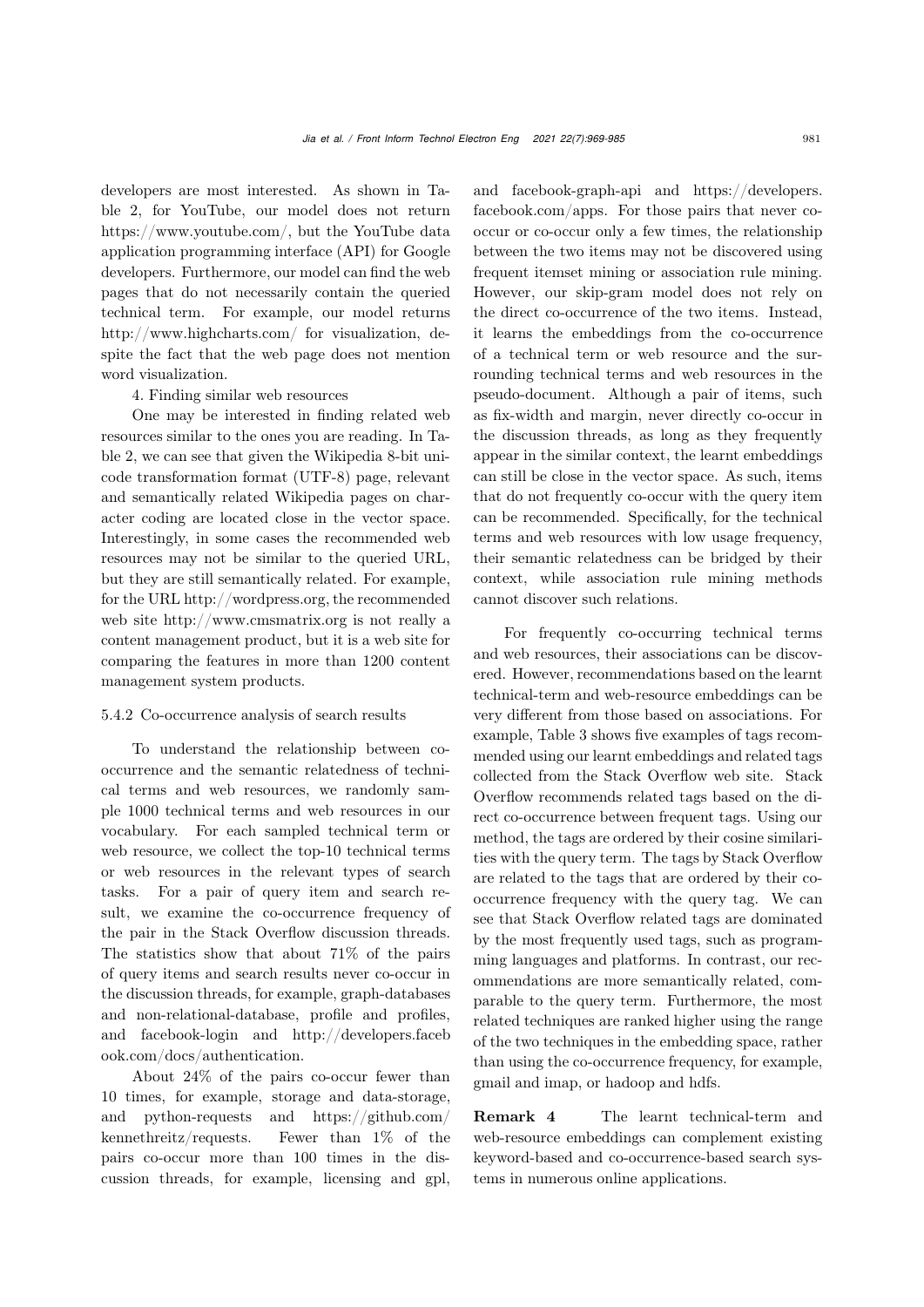developers are most interested. As shown in Table [2,](#page-11-0) for YouTube, our model does not return https://www.youtube.com/, but the YouTube data application programming interface (API) for Google developers. Furthermore, our model can find the web pages that do not necessarily contain the queried technical term. For example, our model returns http://www.highcharts.com/ for visualization, despite the fact that the web page does not mention word visualization.

#### 4. Finding similar web resources

One may be interested in finding related web resources similar to the ones you are reading. In Table [2,](#page-11-0) we can see that given the Wikipedia 8-bit unicode transformation format (UTF-8) page, relevant and semantically related Wikipedia pages on character coding are located close in the vector space. Interestingly, in some cases the recommended web resources may not be similar to the queried URL, but they are still semantically related. For example, for the URL http://wordpress.org, the recommended web site http://www.cmsmatrix.org is not really a content management product, but it is a web site for comparing the features in more than 1200 content management system products.

#### 5.4.2 Co-occurrence analysis of search results

To understand the relationship between cooccurrence and the semantic relatedness of technical terms and web resources, we randomly sample 1000 technical terms and web resources in our vocabulary. For each sampled technical term or web resource, we collect the top-10 technical terms or web resources in the relevant types of search tasks. For a pair of query item and search result, we examine the co-occurrence frequency of the pair in the Stack Overflow discussion threads. The statistics show that about 71% of the pairs of query items and search results never co-occur in the discussion threads, for example, graph-databases and non-relational-database, profile and profiles, and facebook-login and http://developers.faceb ook.com/docs/authentication.

About 24% of the pairs co-occur fewer than 10 times, for example, storage and data-storage, and python-requests and https://github.com/ kennethreitz/requests. Fewer than 1% of the pairs co-occur more than 100 times in the discussion threads, for example, licensing and gpl,

and facebook-graph-api and https://developers. facebook.com/apps. For those pairs that never cooccur or co-occur only a few times, the relationship between the two items may not be discovered using frequent itemset mining or association rule mining. However, our skip-gram model does not rely on the direct co-occurrence of the two items. Instead, it learns the embeddings from the co-occurrence of a technical term or web resource and the surrounding technical terms and web resources in the pseudo-document. Although a pair of items, such as fix-width and margin, never directly co-occur in the discussion threads, as long as they frequently appear in the similar context, the learnt embeddings can still be close in the vector space. As such, items that do not frequently co-occur with the query item can be recommended. Specifically, for the technical terms and web resources with low usage frequency, their semantic relatedness can be bridged by their context, while association rule mining methods cannot discover such relations.

For frequently co-occurring technical terms and web resources, their associations can be discovered. However, recommendations based on the learnt technical-term and web-resource embeddings can be very different from those based on associations. For example, Table [3](#page-13-0) shows five examples of tags recommended using our learnt embeddings and related tags collected from the Stack Overflow web site. Stack Overflow recommends related tags based on the direct co-occurrence between frequent tags. Using our method, the tags are ordered by their cosine similarities with the query term. The tags by Stack Overflow are related to the tags that are ordered by their cooccurrence frequency with the query tag. We can see that Stack Overflow related tags are dominated by the most frequently used tags, such as programming languages and platforms. In contrast, our recommendations are more semantically related, comparable to the query term. Furthermore, the most related techniques are ranked higher using the range of the two techniques in the embedding space, rather than using the co-occurrence frequency, for example, gmail and imap, or hadoop and hdfs.

Remark 4 The learnt technical-term and web-resource embeddings can complement existing keyword-based and co-occurrence-based search systems in numerous online applications.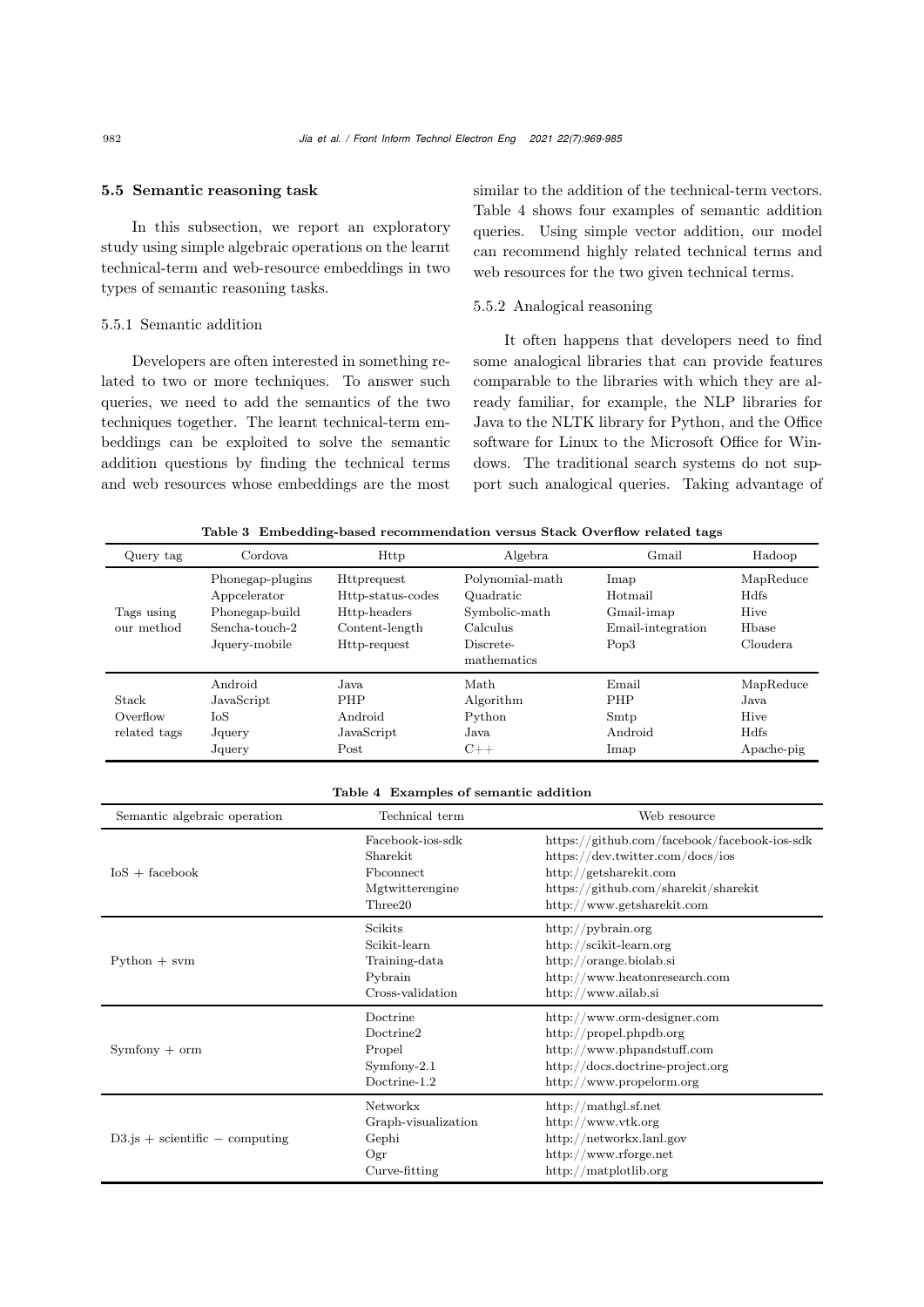#### 5.5 Semantic reasoning task

In this subsection, we report an exploratory study using simple algebraic operations on the learnt technical-term and web-resource embeddings in two types of semantic reasoning tasks.

#### 5.5.1 Semantic addition

Developers are often interested in something related to two or more techniques. To answer such queries, we need to add the semantics of the two techniques together. The learnt technical-term embeddings can be exploited to solve the semantic addition questions by finding the technical terms and web resources whose embeddings are the most

similar to the addition of the technical-term vectors. Table [4](#page-13-1) shows four examples of semantic addition queries. Using simple vector addition, our model can recommend highly related technical terms and web resources for the two given technical terms.

## 5.5.2 Analogical reasoning

It often happens that developers need to find some analogical libraries that can provide features comparable to the libraries with which they are already familiar, for example, the NLP libraries for Java to the NLTK library for Python, and the Office software for Linux to the Microsoft Office for Windows. The traditional search systems do not support such analogical queries. Taking advantage of

<span id="page-13-0"></span>Table 3 Embedding-based recommendation versus Stack Overflow related tags

| Query tag                         | Cordova                                                                               | Http                                                                                      | Algebra                                                                               | Gmail                                                                  | Hadoop                                                   |
|-----------------------------------|---------------------------------------------------------------------------------------|-------------------------------------------------------------------------------------------|---------------------------------------------------------------------------------------|------------------------------------------------------------------------|----------------------------------------------------------|
| Tags using<br>our method          | Phonegap-plugins<br>Appcelerator<br>Phonegap-build<br>Sencha-touch-2<br>Jquery-mobile | <b>Httprequest</b><br>Http-status-codes<br>Http-headers<br>Content-length<br>Http-request | Polynomial-math<br>Quadratic<br>Symbolic-math<br>Calculus<br>Discrete-<br>mathematics | Imap<br>Hotmail<br>Gmail-imap<br>Email-integration<br>Pop <sub>3</sub> | MapReduce<br><b>H</b> dfs<br>Hive<br>Hbase<br>Cloudera.  |
| Stack<br>Overflow<br>related tags | Android<br>JavaScript<br>IoS<br>Jquery<br>Jquery                                      | Java<br><b>PHP</b><br>Android<br>JavaScript<br>Post                                       | Math<br>Algorithm<br>Python<br>Java.<br>$C++$                                         | Email<br><b>PHP</b><br>Smtp<br>Android<br>Imap                         | MapReduce<br>Java.<br>Hive<br><b>H</b> dfs<br>Apache-pig |

#### <span id="page-13-1"></span>Table 4 Examples of semantic addition

| Semantic algebraic operation         | Technical term                                                               | Web resource                                                                                                                                                                     |
|--------------------------------------|------------------------------------------------------------------------------|----------------------------------------------------------------------------------------------------------------------------------------------------------------------------------|
| $IoS + facebook$                     | Facebook-ios-sdk<br>Sharekit<br>Fbconnect<br>Mgtwitterengine<br>Three20      | https://github.com/facebook/facebook-ios-sdk<br>https://dev.twitter.com/docs/ios<br>http://getsharekit.com<br>https://github.com/sharekit/sharekit<br>http://www.getsharekit.com |
| $Python + sym$                       | Scikits<br>Scikit-learn<br>Training-data<br>Pybrain<br>Cross-validation      | http://pybrain.org<br>http://scikit-learn.org<br>http://orange.biolab.si<br>http://www.heatonresearch.com<br>http://www.ailab.si                                                 |
| $Symfony + orm$                      | Doctrine<br>Doctrine <sub>2</sub><br>Propel<br>$Symfony-2.1$<br>Doctrine-1.2 | http://www.orm-designer.com<br>http://propel.phpdb.org<br>http://www.phpandstuff.com<br>http://docs.doctrine-project.org<br>http://www.propelorm.org                             |
| $D3$ is $+$ scientific $-$ computing | Networkx<br>Graph-visualization<br>Gephi<br>Ogr<br>Curve-fitting             | http://mathgl.sf.net<br>http://www.vtk.org<br>http://networkx.lanl.gov<br>http://www.rforge.net<br>http://matplotlib.org                                                         |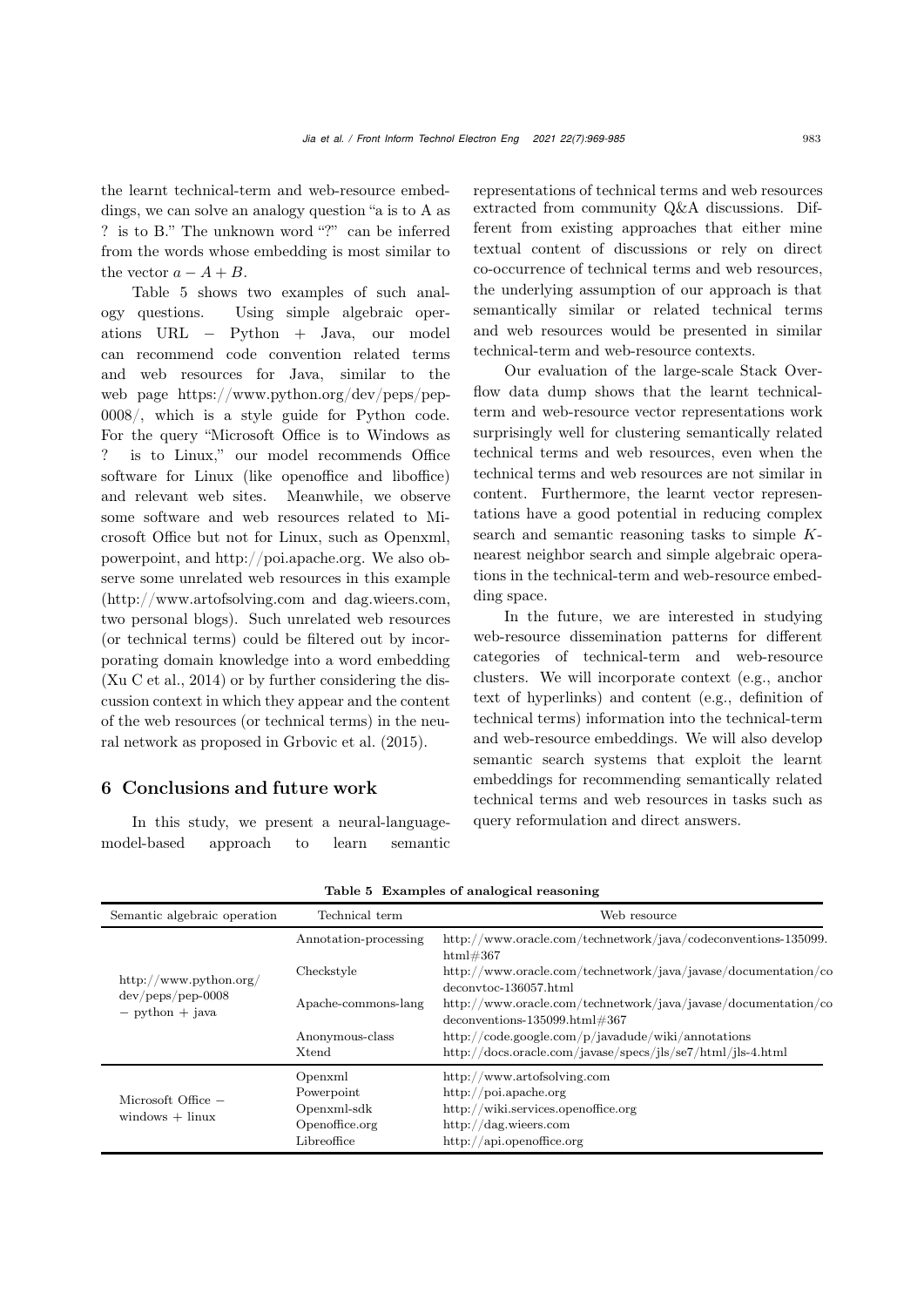the learnt technical-term and web-resource embeddings, we can solve an analogy question "a is to A as ? is to B." The unknown word "?" can be inferred from the words whose embedding is most similar to the vector  $a - A + B$ .

Table [5](#page-14-0) shows two examples of such analogy questions. Using simple algebraic operations URL <sup>−</sup> Python + Java, our model can recommend code convention related terms and web resources for Java, similar to the web page https://www.python.org/dev/peps/pep-0008/, which is a style guide for Python code. For the query "Microsoft Office is to Windows as ? is to Linux," our model recommends Office software for Linux (like openoffice and liboffice) and relevant web sites. Meanwhile, we observe some software and web resources related to Microsoft Office but not for Linux, such as Openxml, powerpoint, and http://poi.apache.org. We also observe some unrelated web resources in this example (http://www.artofsolving.com and dag.wieers.com, two personal blogs). Such unrelated web resources (or technical terms) could be filtered out by incorporating domain knowledge into a word embedding [\(Xu C et al.](#page-16-10), [2014](#page-16-10)) or by further considering the discussion context in which they appear and the content of the web resources (or technical terms) in the neural network as proposed in [Grbovic et al.](#page-15-25) [\(2015](#page-15-25)).

## 6 Conclusions and future work

In this study, we present a neural-languagemodel-based approach to learn semantic representations of technical terms and web resources extracted from community Q&A discussions. Different from existing approaches that either mine textual content of discussions or rely on direct co-occurrence of technical terms and web resources, the underlying assumption of our approach is that semantically similar or related technical terms and web resources would be presented in similar technical-term and web-resource contexts.

Our evaluation of the large-scale Stack Overflow data dump shows that the learnt technicalterm and web-resource vector representations work surprisingly well for clustering semantically related technical terms and web resources, even when the technical terms and web resources are not similar in content. Furthermore, the learnt vector representations have a good potential in reducing complex search and semantic reasoning tasks to simple *K*nearest neighbor search and simple algebraic operations in the technical-term and web-resource embedding space.

In the future, we are interested in studying web-resource dissemination patterns for different categories of technical-term and web-resource clusters. We will incorporate context (e.g., anchor text of hyperlinks) and content (e.g., definition of technical terms) information into the technical-term and web-resource embeddings. We will also develop semantic search systems that exploit the learnt embeddings for recommending semantically related technical terms and web resources in tasks such as query reformulation and direct answers.

| Semantic algebraic operation                                                                                        | Technical term           | Web resource                                                                                                                                      |
|---------------------------------------------------------------------------------------------------------------------|--------------------------|---------------------------------------------------------------------------------------------------------------------------------------------------|
|                                                                                                                     | Annotation-processing    | http://www.oracle.com/technetwork/java/codeconventions-135099.<br>html#367                                                                        |
| http://www.python.org/                                                                                              | Checkstyle               | http://www.oracle.com/technetwork/java/javase/documentation/co<br>deconvtoc-136057.html                                                           |
| $dev/peps/pep-0008$<br>$-$ python $+$ java                                                                          | Apache-commons-lang      | http://www.oracle.com/technetwork/java/javase/documentation/co<br>$deconventions-135099.html#367$                                                 |
|                                                                                                                     | Anonymous-class<br>Xtend | http://code.google.com/p/javadude/wiki/annotations<br>http://docs.oracle.com/javase/specs/jls/se7/html/jls-4.html                                 |
| Openxml<br>Powerpoint<br>Microsoft Office $-$<br>Openxml-sdk<br>$windows + l$ inux<br>Openoffice.org<br>Libreoffice |                          | http://www.artofsolving.com<br>http://poi.apache.org<br>http://wiki.services.openoffice.org<br>http://dag.wieers.com<br>http://api.openoffice.org |

<span id="page-14-0"></span>

|  | Table 5 Examples of analogical reasoning |  |
|--|------------------------------------------|--|
|  |                                          |  |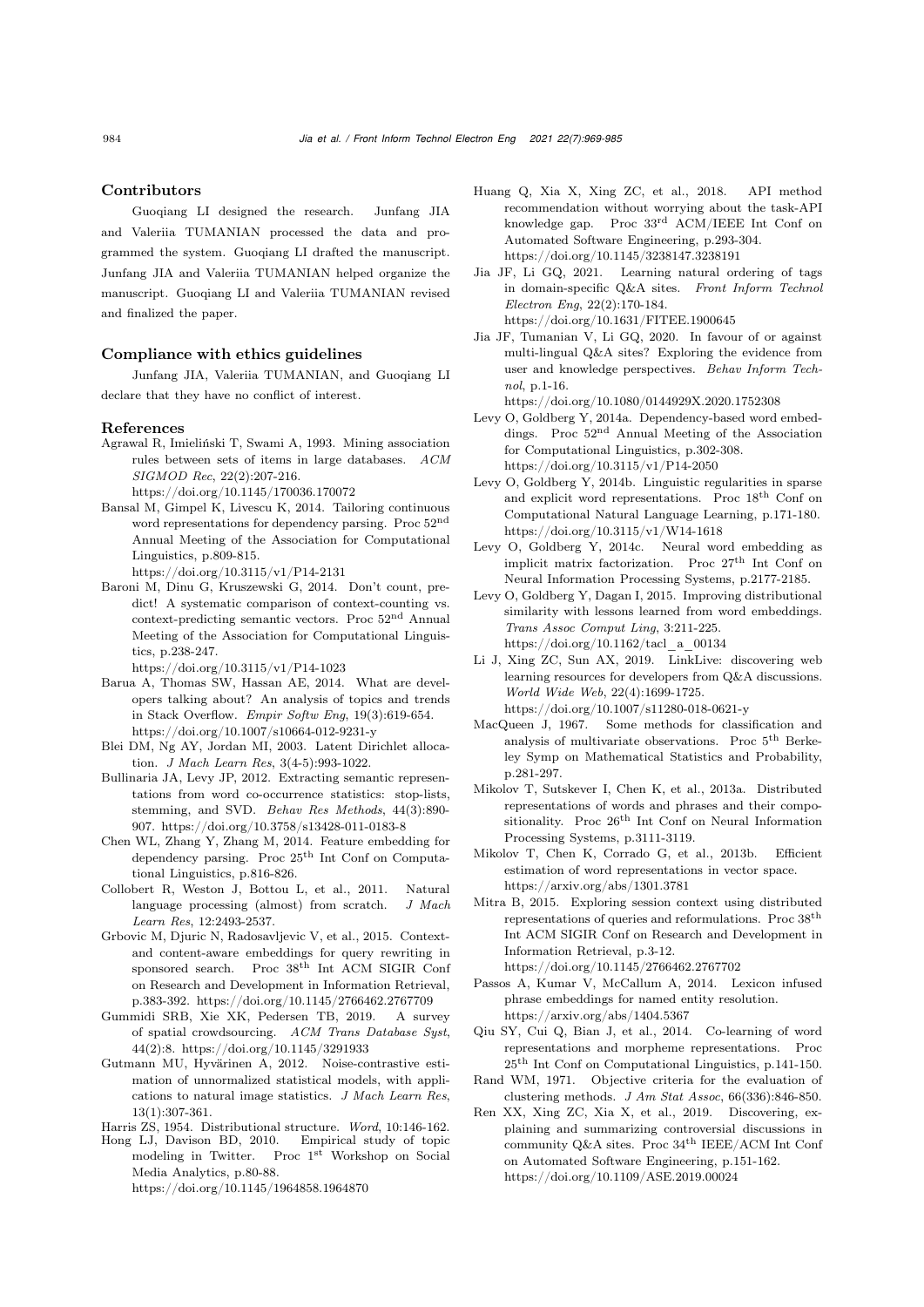#### Contributors

Guoqiang LI designed the research. Junfang JIA and Valeriia TUMANIAN processed the data and programmed the system. Guoqiang LI drafted the manuscript. Junfang JIA and Valeriia TUMANIAN helped organize the manuscript. Guoqiang LI and Valeriia TUMANIAN revised and finalized the paper.

## Compliance with ethics guidelines

Junfang JIA, Valeriia TUMANIAN, and Guoqiang LI declare that they have no conflict of interest.

#### References

<span id="page-15-2"></span>Agrawal R, Imieliński T, Swami A, 1993. Mining association rules between sets of items in large databases. *ACM SIGMOD Rec*, 22(2):207-216.

https://doi.org/10.1145/170036.170072

<span id="page-15-12"></span>Bansal M, Gimpel K, Livescu K, 2014. Tailoring continuous word representations for dependency parsing. Proc  $52<sup>nd</sup>$ Annual Meeting of the Association for Computational Linguistics, p.809-815.

https://doi.org/10.3115/v1/P14-2131

<span id="page-15-13"></span>Baroni M, Dinu G, Kruszewski G, 2014. Don't count, predict! A systematic comparison of context-counting vs. context-predicting semantic vectors. Proc 52nd Annual Meeting of the Association for Computational Linguistics, p.238-247.

https://doi.org/10.3115/v1/P14-1023

- <span id="page-15-6"></span>Barua A, Thomas SW, Hassan AE, 2014. What are developers talking about? An analysis of topics and trends in Stack Overflow. *Empir Softw Eng*, 19(3):619-654. https://doi.org/10.1007/s10664-012-9231-y
- <span id="page-15-1"></span>Blei DM, Ng AY, Jordan MI, 2003. Latent Dirichlet allocation. *J Mach Learn Res*, 3(4-5):993-1022.
- <span id="page-15-14"></span>Bullinaria JA, Levy JP, 2012. Extracting semantic representations from word co-occurrence statistics: stop-lists, stemming, and SVD. *Behav Res Methods*, 44(3):890- 907. https://doi.org/10.3758/s13428-011-0183-8
- Chen WL, Zhang Y, Zhang M, 2014. Feature embedding for dependency parsing. Proc 25th Int Conf on Computational Linguistics, p.816-826.
- <span id="page-15-10"></span>Collobert R, Weston J, Bottou L, et al., 2011. Natural language processing (almost) from scratch. *J Mach Learn Res*, 12:2493-2537.
- <span id="page-15-25"></span>Grbovic M, Djuric N, Radosavljevic V, et al., 2015. Contextand content-aware embeddings for query rewriting in sponsored search. Proc 38th Int ACM SIGIR Conf on Research and Development in Information Retrieval, p.383-392. https://doi.org/10.1145/2766462.2767709
- Gummidi SRB, Xie XK, Pedersen TB, 2019. A survey of spatial crowdsourcing. *ACM Trans Database Syst*, 44(2):8. https://doi.org/10.1145/3291933
- <span id="page-15-15"></span>Gutmann MU, Hyvärinen A, 2012. Noise-contrastive estimation of unnormalized statistical models, with applications to natural image statistics. *J Mach Learn Res*, 13(1):307-361.

<span id="page-15-9"></span>Harris ZS, 1954. Distributional structure. *Word*, 10:146-162.

<span id="page-15-24"></span>Hong LJ, Davison BD, 2010. modeling in Twitter. Proc 1st Workshop on Social Media Analytics, p.80-88. https://doi.org/10.1145/1964858.1964870

- <span id="page-15-8"></span>Huang Q, Xia X, Xing ZC, et al., 2018. API method recommendation without worrying about the task-API knowledge gap. Proc 33rd ACM/IEEE Int Conf on Automated Software Engineering, p.293-304. https://doi.org/10.1145/3238147.3238191
- <span id="page-15-5"></span>Jia JF, Li GQ, 2021. Learning natural ordering of tags in domain-specific Q&A sites. *Front Inform Technol Electron Eng*, 22(2):170-184. https://doi.org/10.1631/FITEE.1900645
- <span id="page-15-4"></span>Jia JF, Tumanian V, Li GQ, 2020. In favour of or against multi-lingual Q&A sites? Exploring the evidence from user and knowledge perspectives. *Behav Inform Technol*, p.1-16.

https://doi.org/10.1080/0144929X.2020.1752308

- <span id="page-15-17"></span>Levy O, Goldberg Y, 2014a. Dependency-based word embeddings. Proc 52nd Annual Meeting of the Association for Computational Linguistics, p.302-308. https://doi.org/10.3115/v1/P14-2050
- <span id="page-15-19"></span>Levy O, Goldberg Y, 2014b. Linguistic regularities in sparse and explicit word representations. Proc $18^{\rm th}$  Conf on Computational Natural Language Learning, p.171-180. https://doi.org/10.3115/v1/W14-1618
- <span id="page-15-16"></span>Levy O, Goldberg Y, 2014c. Neural word embedding as implicit matrix factorization. Proc  $27<sup>th</sup>$  Int Conf on Neural Information Processing Systems, p.2177-2185.
- <span id="page-15-21"></span>Levy O, Goldberg Y, Dagan I, 2015. Improving distributional similarity with lessons learned from word embeddings. *Trans Assoc Comput Ling*, 3:211-225. https://doi.org/10.1162/tacl\_a\_00134
- <span id="page-15-0"></span>Li J, Xing ZC, Sun AX, 2019. LinkLive: discovering web learning resources for developers from Q&A discussions. *World Wide Web*, 22(4):1699-1725. https://doi.org/10.1007/s11280-018-0621-y
- <span id="page-15-18"></span>MacQueen J, 1967. Some methods for classification and analysis of multivariate observations. Proc 5th Berkeley Symp on Mathematical Statistics and Probability, p.281-297.
- <span id="page-15-3"></span>Mikolov T, Sutskever I, Chen K, et al., 2013a. Distributed representations of words and phrases and their compositionality. Proc  $26<sup>th</sup>$  Int Conf on Neural Information Processing Systems, p.3111-3119.
- Mikolov T, Chen K, Corrado G, et al., 2013b. Efficient estimation of word representations in vector space. https://arxiv.org/abs/1301.3781
- <span id="page-15-20"></span>Mitra B, 2015. Exploring session context using distributed representations of queries and reformulations. Proc 38th Int ACM SIGIR Conf on Research and Development in Information Retrieval, p.3-12.

https://doi.org/10.1145/2766462.2767702

- <span id="page-15-11"></span>Passos A, Kumar V, McCallum A, 2014. Lexicon infused phrase embeddings for named entity resolution. https://arxiv.org/abs/1404.5367
- <span id="page-15-23"></span>Qiu SY, Cui Q, Bian J, et al., 2014. Co-learning of word representations and morpheme representations. Proc 25th Int Conf on Computational Linguistics, p.141-150.
- <span id="page-15-22"></span>Rand WM, 1971. Objective criteria for the evaluation of clustering methods. *J Am Stat Assoc*, 66(336):846-850.
- <span id="page-15-7"></span>Ren XX, Xing ZC, Xia X, et al., 2019. Discovering, explaining and summarizing controversial discussions in community  $Q\&A$  sites. Proc 34<sup>th</sup> IEEE/ACM Int Conf on Automated Software Engineering, p.151-162. https://doi.org/10.1109/ASE.2019.00024